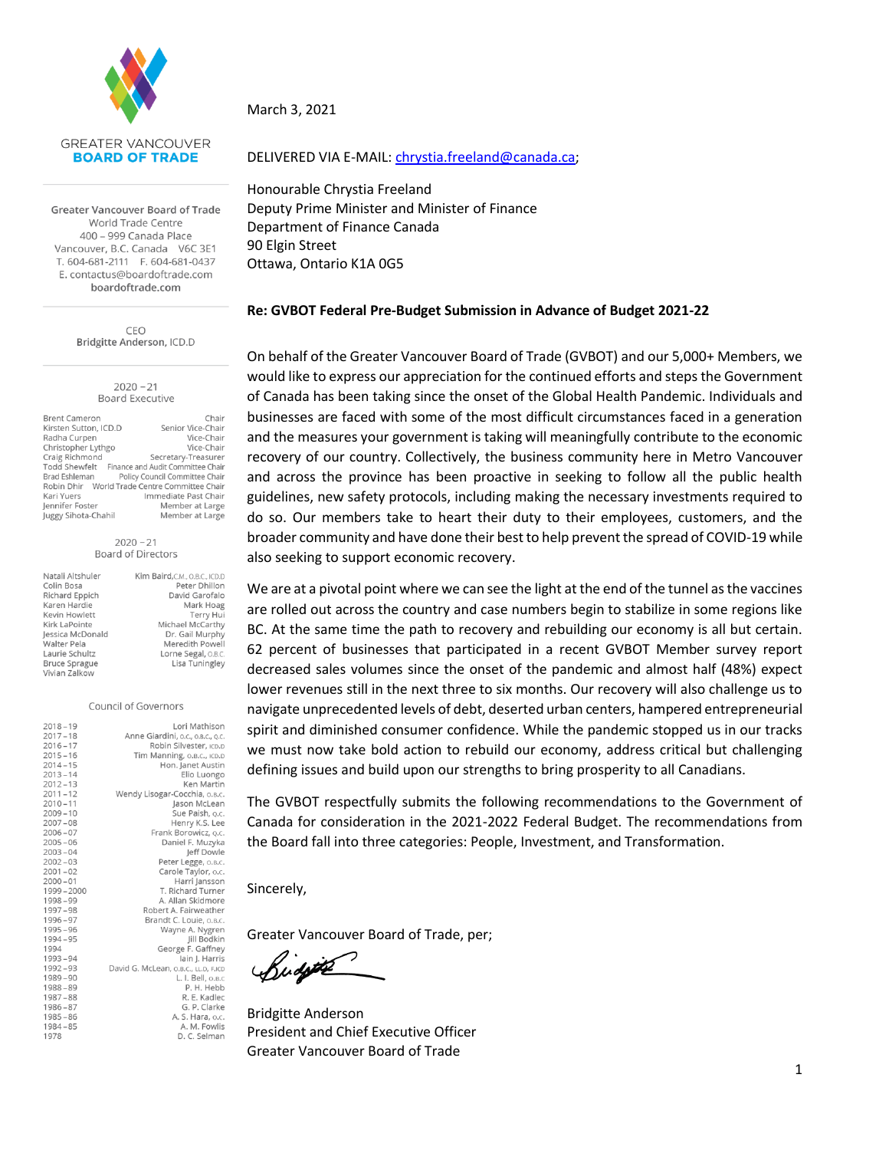

Greater Vancouver Board of Trade World Trade Centre 400 - 999 Canada Place Vancouver, B.C. Canada V6C 3E1 T. 604-681-2111 F. 604-681-0437 E. contactus@boardoftrade.com boardoftrade.com

> CEO Bridgitte Anderson, ICD.D

> > $2020 - 21$ **Board Executive**

| <b>Brent Cameron</b>  | Chair                                           |
|-----------------------|-------------------------------------------------|
| Kirsten Sutton, ICD.D | Senior Vice-Chair                               |
| Radha Curpen          | Vice-Chair                                      |
| Christopher Lythgo    | Vice-Chair                                      |
| Craig Richmond        | Secretary-Treasurer                             |
|                       | Todd Shewfelt Finance and Audit Committee Chair |
| Brad Eshleman         | Policy Council Committee Chair                  |
|                       | Robin Dhir World Trade Centre Committee Chair   |
| Kari Yuers            | Immediate Past Chair                            |
| Jennifer Foster       | Member at Large                                 |
| Juggy Sihota-Chahil   | Member at Large                                 |

 $2020 - 21$ **Board of Directors** 

| Natali Altshuler     | Kim Baird, C.M., O.B.C., ICD.D |
|----------------------|--------------------------------|
|                      |                                |
| Colin Bosa           | Peter Dhillon                  |
| Richard Eppich       | David Garofalo                 |
| Karen Hardie         | Mark Hoag                      |
| Kevin Howlett        | Terry Hui                      |
| Kirk LaPointe        | Michael McCarthy               |
| Jessica McDonald     | Dr. Gail Murphy                |
| <b>Walter Pela</b>   | Meredith Powell                |
| Laurie Schultz       | Lorne Segal, O.B.C.            |
| <b>Bruce Sprague</b> | Lisa Tuningley                 |
| Vivian Zalkow        |                                |

#### Council of Governors

| $2018 - 19$ | Lori Mathison                        |
|-------------|--------------------------------------|
| $2017 - 18$ | Anne Giardini, o.c., o.B.c., o.c.    |
| $2016 - 17$ | Robin Silvester, ICD.D               |
| $2015 - 16$ | Tim Manning, O.B.C., ICD.D           |
| $2014 - 15$ | Hon. Janet Austin                    |
| $2013 - 14$ | Elio Luongo                          |
| $2012 - 13$ | Ken Martin                           |
| $2011 - 12$ | Wendy Lisogar-Cocchia, O.B.C.        |
| $2010 - 11$ | Jason McLean                         |
| $2009 - 10$ | Sue Paish, o.c.                      |
| $2007 - 08$ | Henry K.S. Lee                       |
| $2006 - 07$ | Frank Borowicz, o.c.                 |
| $2005 - 06$ | Daniel F. Muzyka                     |
| $2003 - 04$ | Jeff Dowle                           |
| $2002 - 03$ | Peter Legge, O.B.C.                  |
| $2001 - 02$ | Carole Taylor, o.c.                  |
| $2000 - 01$ | Harri Jansson                        |
| 1999-2000   | T. Richard Turner                    |
| 1998-99     | A. Allan Skidmore                    |
| 1997-98     | Robert A. Fairweather                |
| 1996-97     | Brandt C. Louie, o.B.c.              |
| $1995 - 96$ | Wayne A. Nygren                      |
| 1994-95     | Jill Bodkin                          |
| 1994        | George F. Gaffney                    |
| 1993-94     | lain J. Harris                       |
| 1992-93     | David G. McLean, o.B.C., LL.D, F.ICD |
| $1989 - 90$ | L. I. Bell, O.B.C                    |
| $1988 - 89$ | P. H. Hebb                           |
| $1987 - 88$ | R. E. Kadlec                         |
| $1986 - 87$ | G. P. Clarke                         |
| $1985 - 86$ | A. S. Hara, o.c.                     |
| $1984 - 85$ | A. M. Fowlis                         |
| 1978        | D. C. Selman                         |

March 3, 2021

#### DELIVERED VIA E-MAIL: [chrystia.freeland@canada.ca;](mailto:chrystia.freeland@canada.ca)

Honourable Chrystia Freeland Deputy Prime Minister and Minister of Finance Department of Finance Canada 90 Elgin Street Ottawa, Ontario K1A 0G5

#### **Re: GVBOT Federal Pre-Budget Submission in Advance of Budget 2021-22**

On behalf of the Greater Vancouver Board of Trade (GVBOT) and our 5,000+ Members, we would like to express our appreciation for the continued efforts and steps the Government of Canada has been taking since the onset of the Global Health Pandemic. Individuals and businesses are faced with some of the most difficult circumstances faced in a generation and the measures your government is taking will meaningfully contribute to the economic recovery of our country. Collectively, the business community here in Metro Vancouver and across the province has been proactive in seeking to follow all the public health guidelines, new safety protocols, including making the necessary investments required to do so. Our members take to heart their duty to their employees, customers, and the broader community and have done their best to help prevent the spread of COVID-19 while also seeking to support economic recovery.

We are at a pivotal point where we can see the light at the end of the tunnel as the vaccines are rolled out across the country and case numbers begin to stabilize in some regions like BC. At the same time the path to recovery and rebuilding our economy is all but certain. 62 percent of businesses that participated in a recent GVBOT Member survey report decreased sales volumes since the onset of the pandemic and almost half (48%) expect lower revenues still in the next three to six months. Our recovery will also challenge us to navigate unprecedented levels of debt, deserted urban centers, hampered entrepreneurial spirit and diminished consumer confidence. While the pandemic stopped us in our tracks we must now take bold action to rebuild our economy, address critical but challenging defining issues and build upon our strengths to bring prosperity to all Canadians.

The GVBOT respectfully submits the following recommendations to the Government of Canada for consideration in the 2021-2022 Federal Budget. The recommendations from the Board fall into three categories: People, Investment, and Transformation.

Sincerely,

Greater Vancouver Board of Trade, per;

Rudotte

Bridgitte Anderson President and Chief Executive Officer Greater Vancouver Board of Trade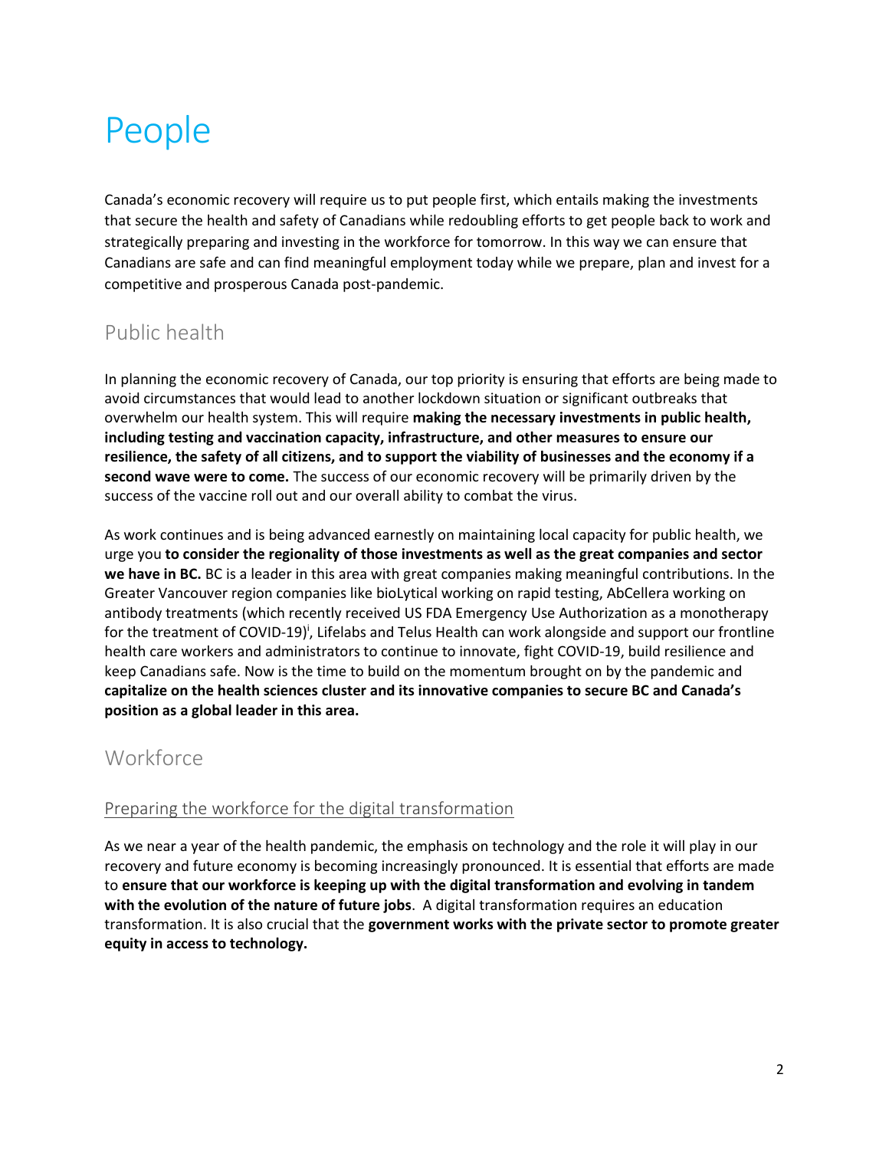# People

Canada's economic recovery will require us to put people first, which entails making the investments that secure the health and safety of Canadians while redoubling efforts to get people back to work and strategically preparing and investing in the workforce for tomorrow. In this way we can ensure that Canadians are safe and can find meaningful employment today while we prepare, plan and invest for a competitive and prosperous Canada post-pandemic.

## Public health

In planning the economic recovery of Canada, our top priority is ensuring that efforts are being made to avoid circumstances that would lead to another lockdown situation or significant outbreaks that overwhelm our health system. This will require **making the necessary investments in public health, including testing and vaccination capacity, infrastructure, and other measures to ensure our resilience, the safety of all citizens, and to support the viability of businesses and the economy if a second wave were to come.** The success of our economic recovery will be primarily driven by the success of the vaccine roll out and our overall ability to combat the virus.

As work continues and is being advanced earnestly on maintaining local capacity for public health, we urge you **to consider the regionality of those investments as well as the great companies and sector we have in BC.** BC is a leader in this area with great companies making meaningful contributions. In the Greater Vancouver region companies like bioLytical working on rapid testing, AbCellera working on antibody treatments (which recently received US FDA Emergency Use Authorization as a monotherapy for the treatment of COVID-19)<sup>i</sup>, Lifelabs and Telus Health can work alongside and support our frontline health care workers and administrators to continue to innovate, fight COVID-19, build resilience and keep Canadians safe. Now is the time to build on the momentum brought on by the pandemic and **capitalize on the health sciences cluster and its innovative companies to secure BC and Canada's position as a global leader in this area.**

## **Workforce**

#### Preparing the workforce for the digital transformation

As we near a year of the health pandemic, the emphasis on technology and the role it will play in our recovery and future economy is becoming increasingly pronounced. It is essential that efforts are made to **ensure that our workforce is keeping up with the digital transformation and evolving in tandem with the evolution of the nature of future jobs**. A digital transformation requires an education transformation. It is also crucial that the **government works with the private sector to promote greater equity in access to technology.**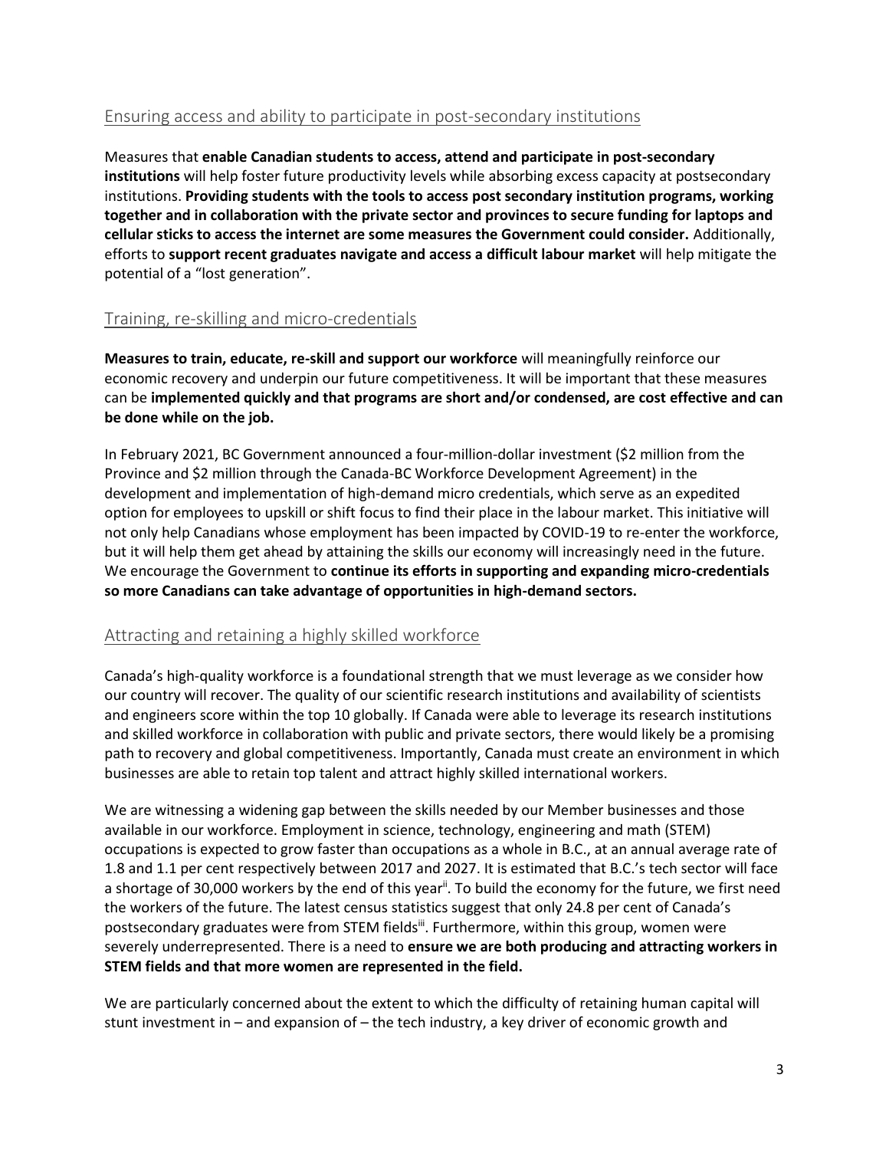#### Ensuring access and ability to participate in post-secondary institutions

Measures that **enable Canadian students to access, attend and participate in post-secondary institutions** will help foster future productivity levels while absorbing excess capacity at postsecondary institutions. **Providing students with the tools to access post secondary institution programs, working together and in collaboration with the private sector and provinces to secure funding for laptops and cellular sticks to access the internet are some measures the Government could consider.** Additionally, efforts to **support recent graduates navigate and access a difficult labour market** will help mitigate the potential of a "lost generation".

#### Training, re-skilling and micro-credentials

**Measures to train, educate, re-skill and support our workforce** will meaningfully reinforce our economic recovery and underpin our future competitiveness. It will be important that these measures can be **implemented quickly and that programs are short and/or condensed, are cost effective and can be done while on the job.**

In February 2021, BC Government announced a four-million-dollar investment (\$2 million from the Province and \$2 million through the Canada-BC Workforce Development Agreement) in the development and implementation of high-demand micro credentials, which serve as an expedited option for employees to upskill or shift focus to find their place in the labour market. This initiative will not only help Canadians whose employment has been impacted by COVID-19 to re-enter the workforce, but it will help them get ahead by attaining the skills our economy will increasingly need in the future. We encourage the Government to **continue its efforts in supporting and expanding micro-credentials so more Canadians can take advantage of opportunities in high-demand sectors.** 

#### Attracting and retaining a highly skilled workforce

Canada's high-quality workforce is a foundational strength that we must leverage as we consider how our country will recover. The quality of our scientific research institutions and availability of scientists and engineers score within the top 10 globally. If Canada were able to leverage its research institutions and skilled workforce in collaboration with public and private sectors, there would likely be a promising path to recovery and global competitiveness. Importantly, Canada must create an environment in which businesses are able to retain top talent and attract highly skilled international workers.

We are witnessing a widening gap between the skills needed by our Member businesses and those available in our workforce. Employment in science, technology, engineering and math (STEM) occupations is expected to grow faster than occupations as a whole in B.C., at an annual average rate of 1.8 and 1.1 per cent respectively between 2017 and 2027. It is estimated that B.C.'s tech sector will face a shortage of 30,000 workers by the end of this year<sup>ii</sup>. To build the economy for the future, we first need the workers of the future. The latest census statistics suggest that only 24.8 per cent of Canada's postsecondary graduates were from STEM fields<sup>iii</sup>. Furthermore, within this group, women were severely underrepresented. There is a need to **ensure we are both producing and attracting workers in STEM fields and that more women are represented in the field.**

We are particularly concerned about the extent to which the difficulty of retaining human capital will stunt investment in – and expansion of – the tech industry, a key driver of economic growth and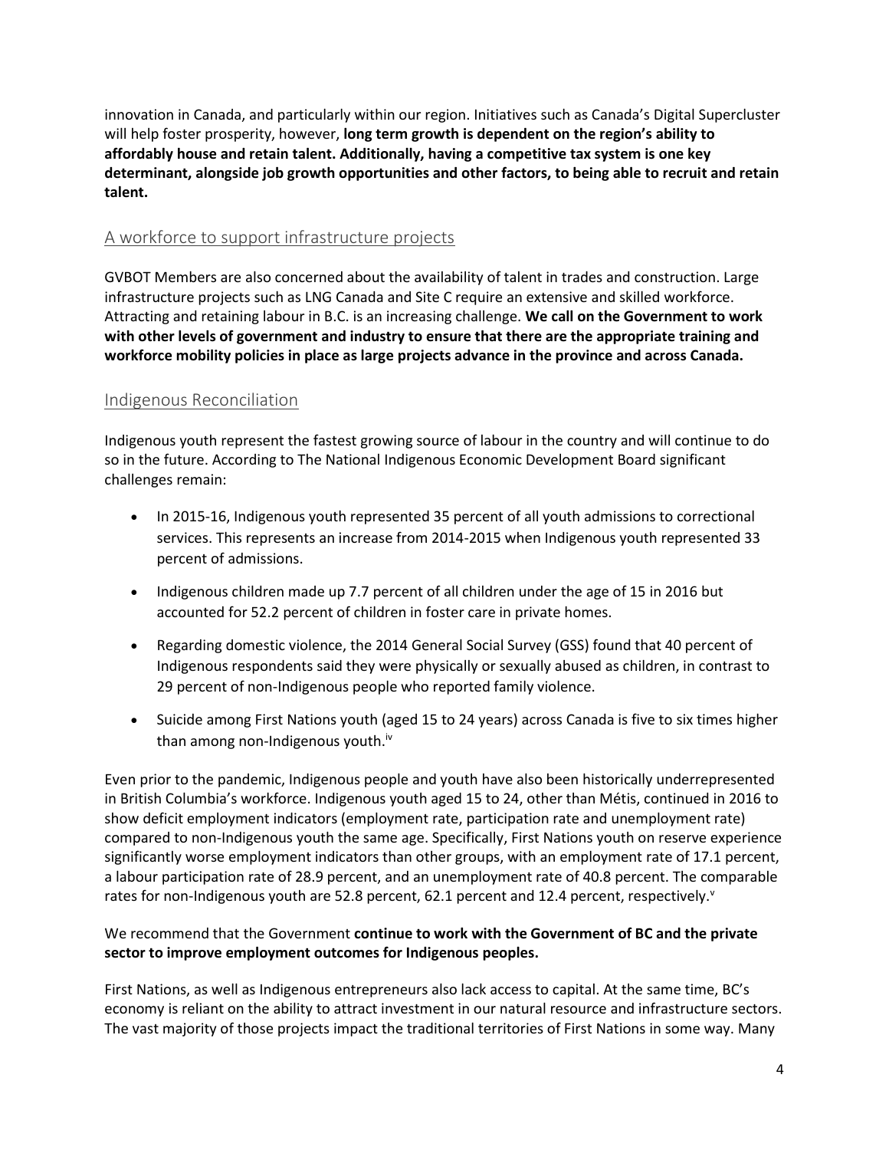innovation in Canada, and particularly within our region. Initiatives such as Canada's Digital Supercluster will help foster prosperity, however, **long term growth is dependent on the region's ability to affordably house and retain talent. Additionally, having a competitive tax system is one key determinant, alongside job growth opportunities and other factors, to being able to recruit and retain talent.**

#### A workforce to support infrastructure projects

GVBOT Members are also concerned about the availability of talent in trades and construction. Large infrastructure projects such as LNG Canada and Site C require an extensive and skilled workforce. Attracting and retaining labour in B.C. is an increasing challenge. **We call on the Government to work with other levels of government and industry to ensure that there are the appropriate training and workforce mobility policies in place as large projects advance in the province and across Canada.**

#### Indigenous Reconciliation

Indigenous youth represent the fastest growing source of labour in the country and will continue to do so in the future. According to The National Indigenous Economic Development Board significant challenges remain:

- In 2015-16, Indigenous youth represented 35 percent of all youth admissions to correctional services. This represents an increase from 2014-2015 when Indigenous youth represented 33 percent of admissions.
- Indigenous children made up 7.7 percent of all children under the age of 15 in 2016 but accounted for 52.2 percent of children in foster care in private homes.
- Regarding domestic violence, the 2014 General Social Survey (GSS) found that 40 percent of Indigenous respondents said they were physically or sexually abused as children, in contrast to 29 percent of non-Indigenous people who reported family violence.
- Suicide among First Nations youth (aged 15 to 24 years) across Canada is five to six times higher than among non-Indigenous youth.<sup>iv</sup>

Even prior to the pandemic, Indigenous people and youth have also been historically underrepresented in British Columbia's workforce. Indigenous youth aged 15 to 24, other than Métis, continued in 2016 to show deficit employment indicators (employment rate, participation rate and unemployment rate) compared to non-Indigenous youth the same age. Specifically, First Nations youth on reserve experience significantly worse employment indicators than other groups, with an employment rate of 17.1 percent, a labour participation rate of 28.9 percent, and an unemployment rate of 40.8 percent. The comparable rates for non-Indigenous youth are 52.8 percent, 62.1 percent and 12.4 percent, respectively.

#### We recommend that the Government **continue to work with the Government of BC and the private sector to improve employment outcomes for Indigenous peoples.**

First Nations, as well as Indigenous entrepreneurs also lack access to capital. At the same time, BC's economy is reliant on the ability to attract investment in our natural resource and infrastructure sectors. The vast majority of those projects impact the traditional territories of First Nations in some way. Many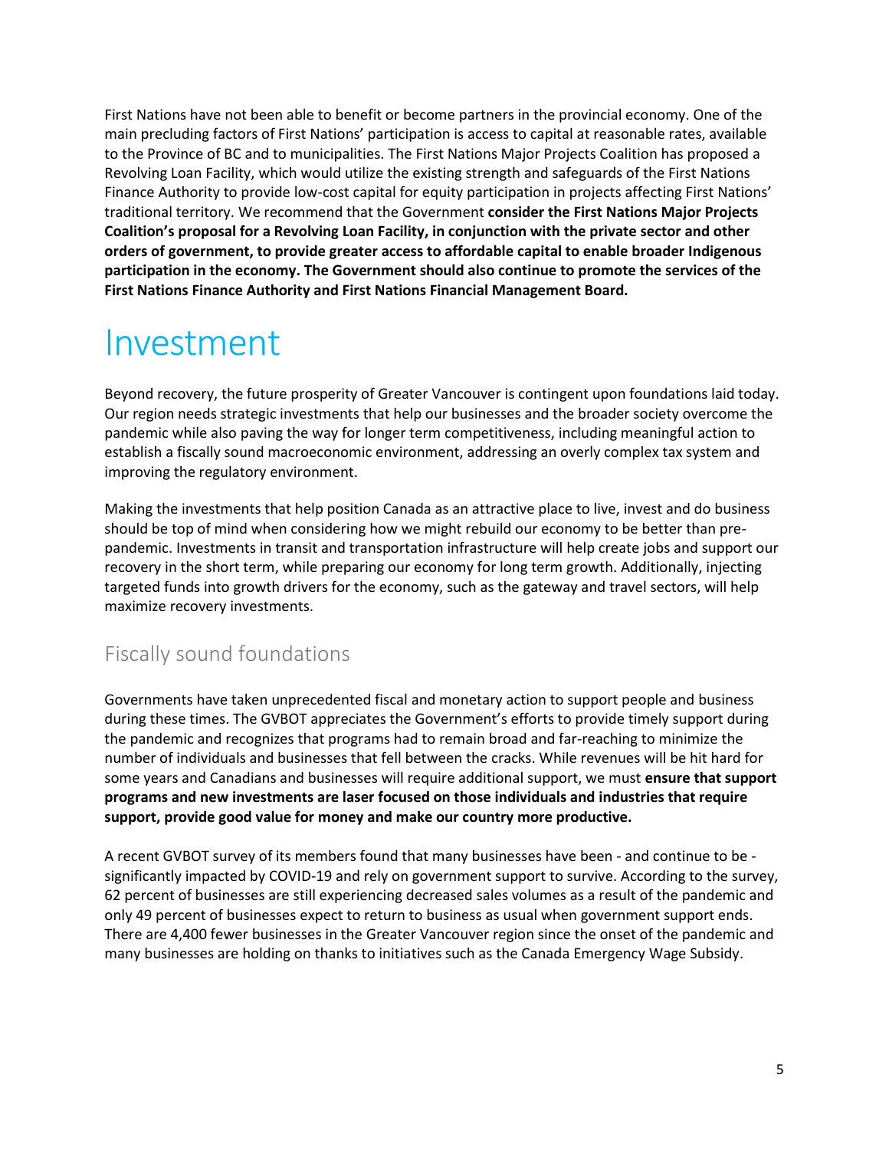First Nations have not been able to benefit or become partners in the provincial economy. One of the main precluding factors of First Nations' participation is access to capital at reasonable rates, available to the Province of BC and to municipalities. The First Nations Major Projects Coalition has proposed a Revolving Loan Facility, which would utilize the existing strength and safeguards of the First Nations Finance Authority to provide low-cost capital for equity participation in projects affecting First Nations' traditional territory. We recommend that the Government **consider the First Nations Major Projects Coalition's proposal for a Revolving Loan Facility, in conjunction with the private sector and other orders of government, to provide greater access to affordable capital to enable broader Indigenous participation in the economy. The Government should also continue to promote the services of the First Nations Finance Authority and First Nations Financial Management Board.**

## Investment

Beyond recovery, the future prosperity of Greater Vancouver is contingent upon foundations laid today. Our region needs strategic investments that help our businesses and the broader society overcome the pandemic while also paving the way for longer term competitiveness, including meaningful action to establish a fiscally sound macroeconomic environment, addressing an overly complex tax system and improving the regulatory environment.

Making the investments that help position Canada as an attractive place to live, invest and do business should be top of mind when considering how we might rebuild our economy to be better than prepandemic. Investments in transit and transportation infrastructure will help create jobs and support our recovery in the short term, while preparing our economy for long term growth. Additionally, injecting targeted funds into growth drivers for the economy, such as the gateway and travel sectors, will help maximize recovery investments.

## Fiscally sound foundations

Governments have taken unprecedented fiscal and monetary action to support people and business during these times. The GVBOT appreciates the Government's efforts to provide timely support during the pandemic and recognizes that programs had to remain broad and far-reaching to minimize the number of individuals and businesses that fell between the cracks. While revenues will be hit hard for some years and Canadians and businesses will require additional support, we must **ensure that support programs and new investments are laser focused on those individuals and industries that require support, provide good value for money and make our country more productive.**

A recent GVBOT survey of its members found that many businesses have been - and continue to be significantly impacted by COVID-19 and rely on government support to survive. According to the survey, 62 percent of businesses are still experiencing decreased sales volumes as a result of the pandemic and only 49 percent of businesses expect to return to business as usual when government support ends. There are 4,400 fewer businesses in the Greater Vancouver region since the onset of the pandemic and many businesses are holding on thanks to initiatives such as the Canada Emergency Wage Subsidy.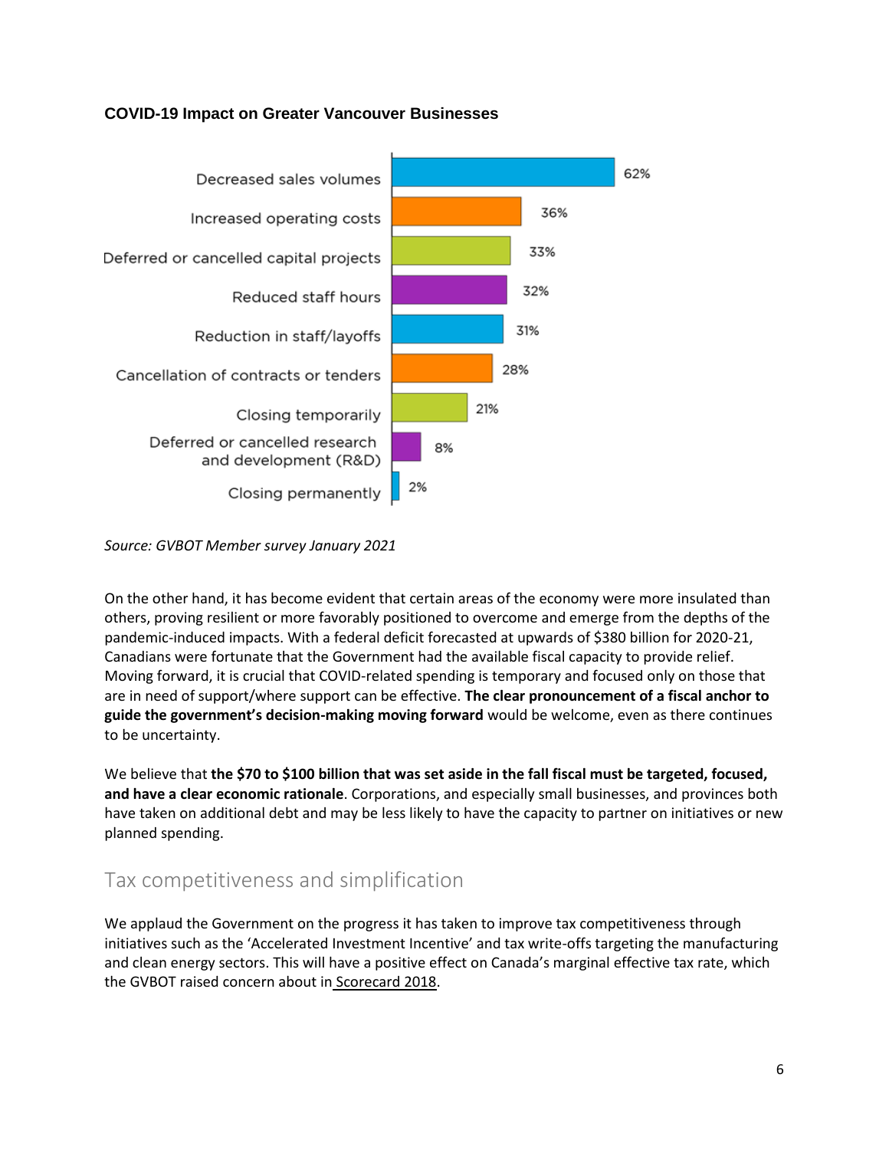#### **COVID-19 Impact on Greater Vancouver Businesses**



*Source: GVBOT Member survey January 2021*

On the other hand, it has become evident that certain areas of the economy were more insulated than others, proving resilient or more favorably positioned to overcome and emerge from the depths of the pandemic-induced impacts. With a federal deficit forecasted at upwards of \$380 billion for 2020-21, Canadians were fortunate that the Government had the available fiscal capacity to provide relief. Moving forward, it is crucial that COVID-related spending is temporary and focused only on those that are in need of support/where support can be effective. **The clear pronouncement of a fiscal anchor to guide the government's decision-making moving forward** would be welcome, even as there continues to be uncertainty.

We believe that **the \$70 to \$100 billion that was set aside in the fall fiscal must be targeted, focused, and have a clear economic rationale**. Corporations, and especially small businesses, and provinces both have taken on additional debt and may be less likely to have the capacity to partner on initiatives or new planned spending.

## Tax competitiveness and simplification

We applaud the Government on the progress it has taken to improve tax competitiveness through initiatives such as the 'Accelerated Investment Incentive' and tax write-offs targeting the manufacturing and clean energy sectors. This will have a positive effect on Canada's marginal effective tax rate, which the GVBOT raised concern about in [Scorecard 2018.](https://www.boardoftrade.com/scorecard2018/)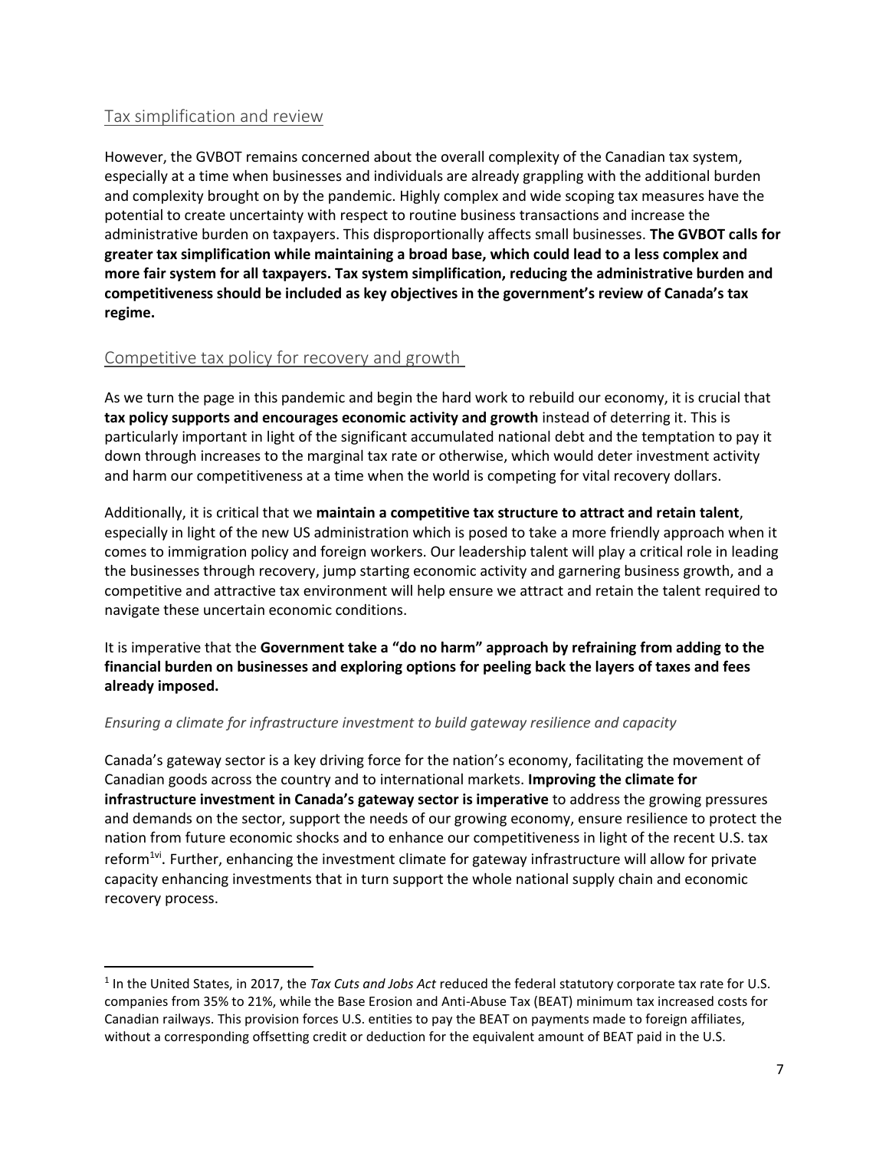#### Tax simplification and review

 $\overline{a}$ 

However, the GVBOT remains concerned about the overall complexity of the Canadian tax system, especially at a time when businesses and individuals are already grappling with the additional burden and complexity brought on by the pandemic. Highly complex and wide scoping tax measures have the potential to create uncertainty with respect to routine business transactions and increase the administrative burden on taxpayers. This disproportionally affects small businesses. **The GVBOT calls for greater tax simplification while maintaining a broad base, which could lead to a less complex and more fair system for all taxpayers. Tax system simplification, reducing the administrative burden and competitiveness should be included as key objectives in the government's review of Canada's tax regime.**

#### Competitive tax policy for recovery and growth

As we turn the page in this pandemic and begin the hard work to rebuild our economy, it is crucial that **tax policy supports and encourages economic activity and growth** instead of deterring it. This is particularly important in light of the significant accumulated national debt and the temptation to pay it down through increases to the marginal tax rate or otherwise, which would deter investment activity and harm our competitiveness at a time when the world is competing for vital recovery dollars.

Additionally, it is critical that we **maintain a competitive tax structure to attract and retain talent**, especially in light of the new US administration which is posed to take a more friendly approach when it comes to immigration policy and foreign workers. Our leadership talent will play a critical role in leading the businesses through recovery, jump starting economic activity and garnering business growth, and a competitive and attractive tax environment will help ensure we attract and retain the talent required to navigate these uncertain economic conditions.

It is imperative that the **Government take a "do no harm" approach by refraining from adding to the financial burden on businesses and exploring options for peeling back the layers of taxes and fees already imposed.**

#### *Ensuring a climate for infrastructure investment to build gateway resilience and capacity*

Canada's gateway sector is a key driving force for the nation's economy, facilitating the movement of Canadian goods across the country and to international markets. **Improving the climate for infrastructure investment in Canada's gateway sector is imperative** to address the growing pressures and demands on the sector, support the needs of our growing economy, ensure resilience to protect the nation from future economic shocks and to enhance our competitiveness in light of the recent U.S. tax reform<sup>1vi</sup>. Further, enhancing the investment climate for gateway infrastructure will allow for private capacity enhancing investments that in turn support the whole national supply chain and economic recovery process.

<sup>1</sup> In the United States, in 2017, the *Tax Cuts and Jobs Act* reduced the federal statutory corporate tax rate for U.S. companies from 35% to 21%, while the Base Erosion and Anti-Abuse Tax (BEAT) minimum tax increased costs for Canadian railways. This provision forces U.S. entities to pay the BEAT on payments made to foreign affiliates, without a corresponding offsetting credit or deduction for the equivalent amount of BEAT paid in the U.S.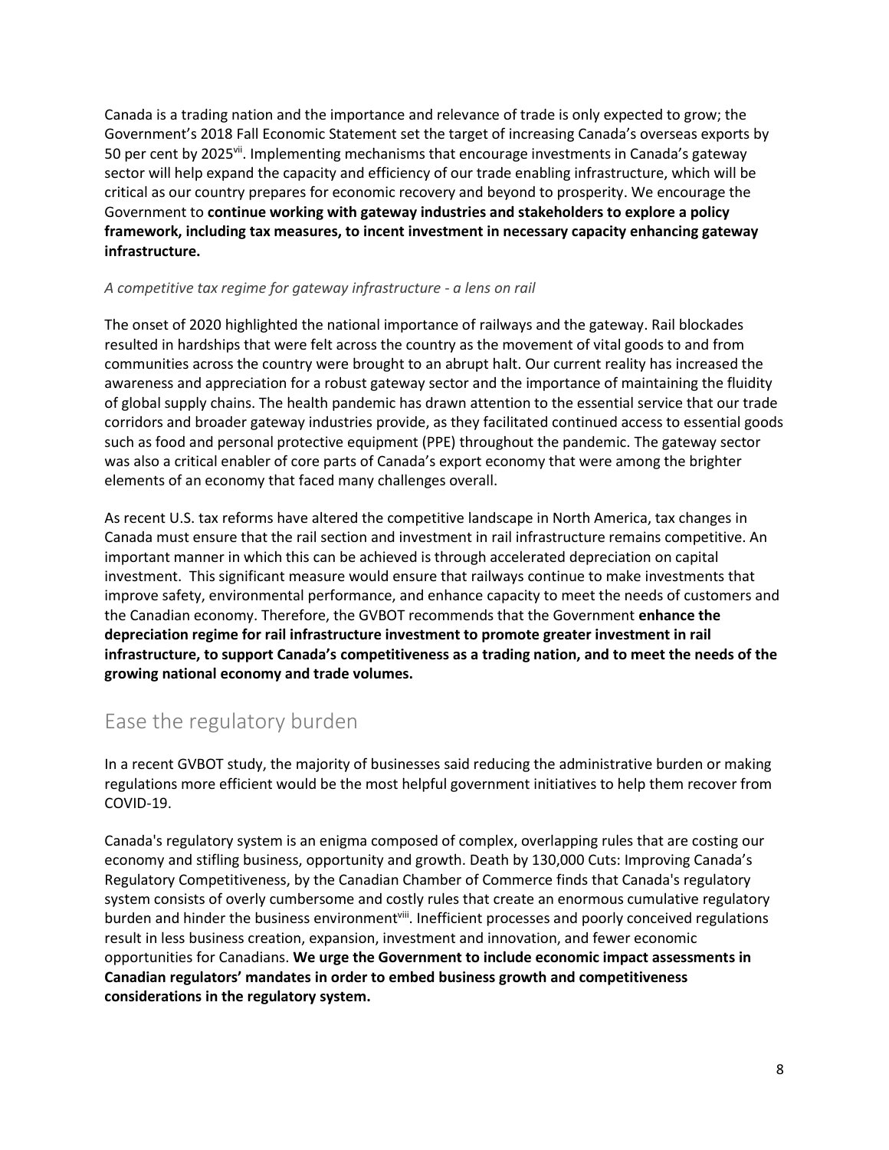Canada is a trading nation and the importance and relevance of trade is only expected to grow; the Government's 2018 Fall Economic Statement set the target of increasing Canada's overseas exports by 50 per cent by 2025vii. Implementing mechanisms that encourage investments in Canada's gateway sector will help expand the capacity and efficiency of our trade enabling infrastructure, which will be critical as our country prepares for economic recovery and beyond to prosperity. We encourage the Government to **continue working with gateway industries and stakeholders to explore a policy framework, including tax measures, to incent investment in necessary capacity enhancing gateway infrastructure.**

#### *A competitive tax regime for gateway infrastructure - a lens on rail*

The onset of 2020 highlighted the national importance of railways and the gateway. Rail blockades resulted in hardships that were felt across the country as the movement of vital goods to and from communities across the country were brought to an abrupt halt. Our current reality has increased the awareness and appreciation for a robust gateway sector and the importance of maintaining the fluidity of global supply chains. The health pandemic has drawn attention to the essential service that our trade corridors and broader gateway industries provide, as they facilitated continued access to essential goods such as food and personal protective equipment (PPE) throughout the pandemic. The gateway sector was also a critical enabler of core parts of Canada's export economy that were among the brighter elements of an economy that faced many challenges overall.

As recent U.S. tax reforms have altered the competitive landscape in North America, tax changes in Canada must ensure that the rail section and investment in rail infrastructure remains competitive. An important manner in which this can be achieved is through accelerated depreciation on capital investment. This significant measure would ensure that railways continue to make investments that improve safety, environmental performance, and enhance capacity to meet the needs of customers and the Canadian economy. Therefore, the GVBOT recommends that the Government **enhance the depreciation regime for rail infrastructure investment to promote greater investment in rail infrastructure, to support Canada's competitiveness as a trading nation, and to meet the needs of the growing national economy and trade volumes.**

## Ease the regulatory burden

In a recent GVBOT study, the majority of businesses said reducing the administrative burden or making regulations more efficient would be the most helpful government initiatives to help them recover from COVID-19.

Canada's regulatory system is an enigma composed of complex, overlapping rules that are costing our economy and stifling business, opportunity and growth. Death by 130,000 Cuts: Improving Canada's Regulatory Competitiveness, by the Canadian Chamber of Commerce finds that Canada's regulatory system consists of overly cumbersome and costly rules that create an enormous cumulative regulatory burden and hinder the business environment<sup>viii</sup>. Inefficient processes and poorly conceived regulations result in less business creation, expansion, investment and innovation, and fewer economic opportunities for Canadians. **We urge the Government to include economic impact assessments in Canadian regulators' mandates in order to embed business growth and competitiveness considerations in the regulatory system.**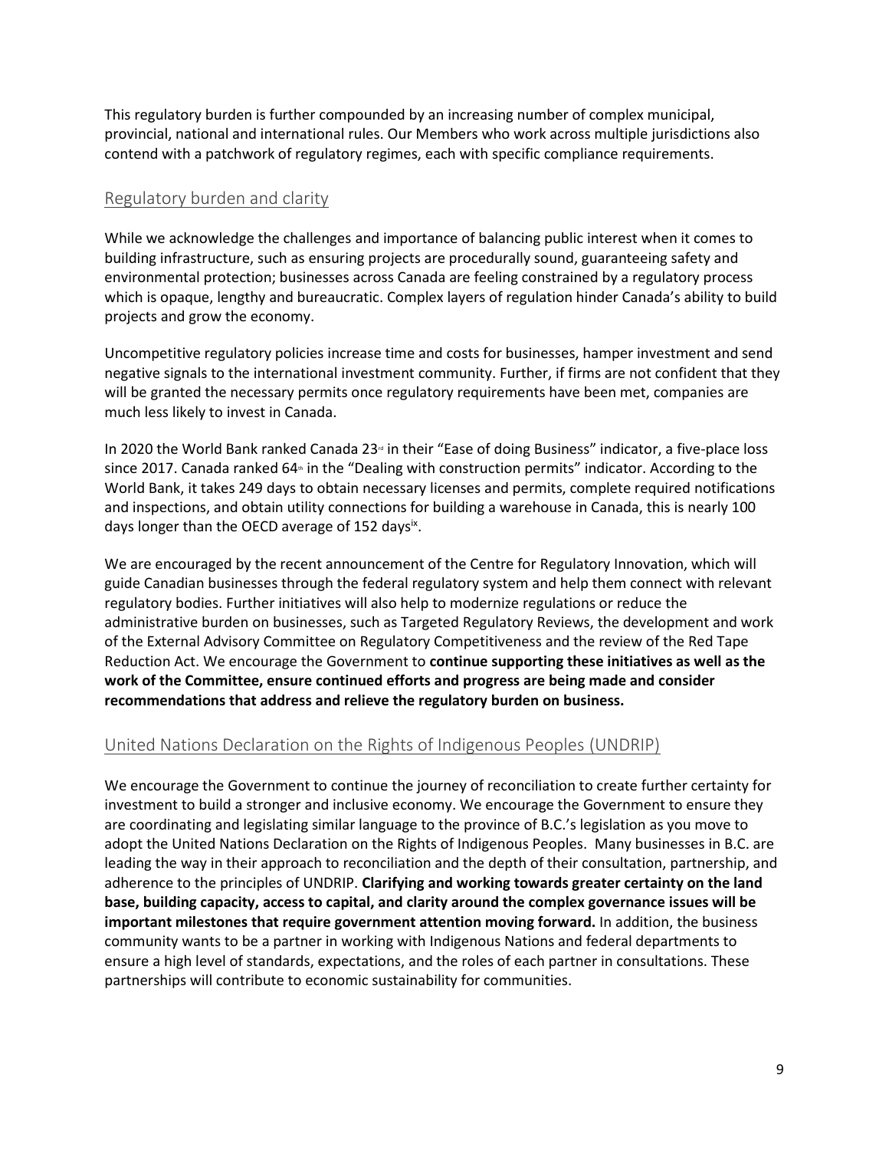This regulatory burden is further compounded by an increasing number of complex municipal, provincial, national and international rules. Our Members who work across multiple jurisdictions also contend with a patchwork of regulatory regimes, each with specific compliance requirements.

#### Regulatory burden and clarity

While we acknowledge the challenges and importance of balancing public interest when it comes to building infrastructure, such as ensuring projects are procedurally sound, guaranteeing safety and environmental protection; businesses across Canada are feeling constrained by a regulatory process which is opaque, lengthy and bureaucratic. Complex layers of regulation hinder Canada's ability to build projects and grow the economy.

Uncompetitive regulatory policies increase time and costs for businesses, hamper investment and send negative signals to the international investment community. Further, if firms are not confident that they will be granted the necessary permits once regulatory requirements have been met, companies are much less likely to invest in Canada.

In 2020 the World Bank ranked Canada 23<sup>rd</sup> in their "Ease of doing Business" indicator, a five-place loss since 2017. Canada ranked 64<sup>th</sup> in the "Dealing with construction permits" indicator. According to the World Bank, it takes 249 days to obtain necessary licenses and permits, complete required notifications and inspections, and obtain utility connections for building a warehouse in Canada, this is nearly 100 days longer than the OECD average of 152 days<sup>ix</sup>.

We are encouraged by the recent announcement of the Centre for Regulatory Innovation, which will guide Canadian businesses through the federal regulatory system and help them connect with relevant regulatory bodies. Further initiatives will also help to modernize regulations or reduce the administrative burden on businesses, such as Targeted Regulatory Reviews, the development and work of the External Advisory Committee on Regulatory Competitiveness and the review of the Red Tape Reduction Act. We encourage the Government to **continue supporting these initiatives as well as the work of the Committee, ensure continued efforts and progress are being made and consider recommendations that address and relieve the regulatory burden on business.**

#### United Nations Declaration on the Rights of Indigenous Peoples (UNDRIP)

We encourage the Government to continue the journey of reconciliation to create further certainty for investment to build a stronger and inclusive economy. We encourage the Government to ensure they are coordinating and legislating similar language to the province of B.C.'s legislation as you move to adopt the United Nations Declaration on the Rights of Indigenous Peoples. Many businesses in B.C. are leading the way in their approach to reconciliation and the depth of their consultation, partnership, and adherence to the principles of UNDRIP. **Clarifying and working towards greater certainty on the land base, building capacity, access to capital, and clarity around the complex governance issues will be important milestones that require government attention moving forward.** In addition, the business community wants to be a partner in working with Indigenous Nations and federal departments to ensure a high level of standards, expectations, and the roles of each partner in consultations. These partnerships will contribute to economic sustainability for communities.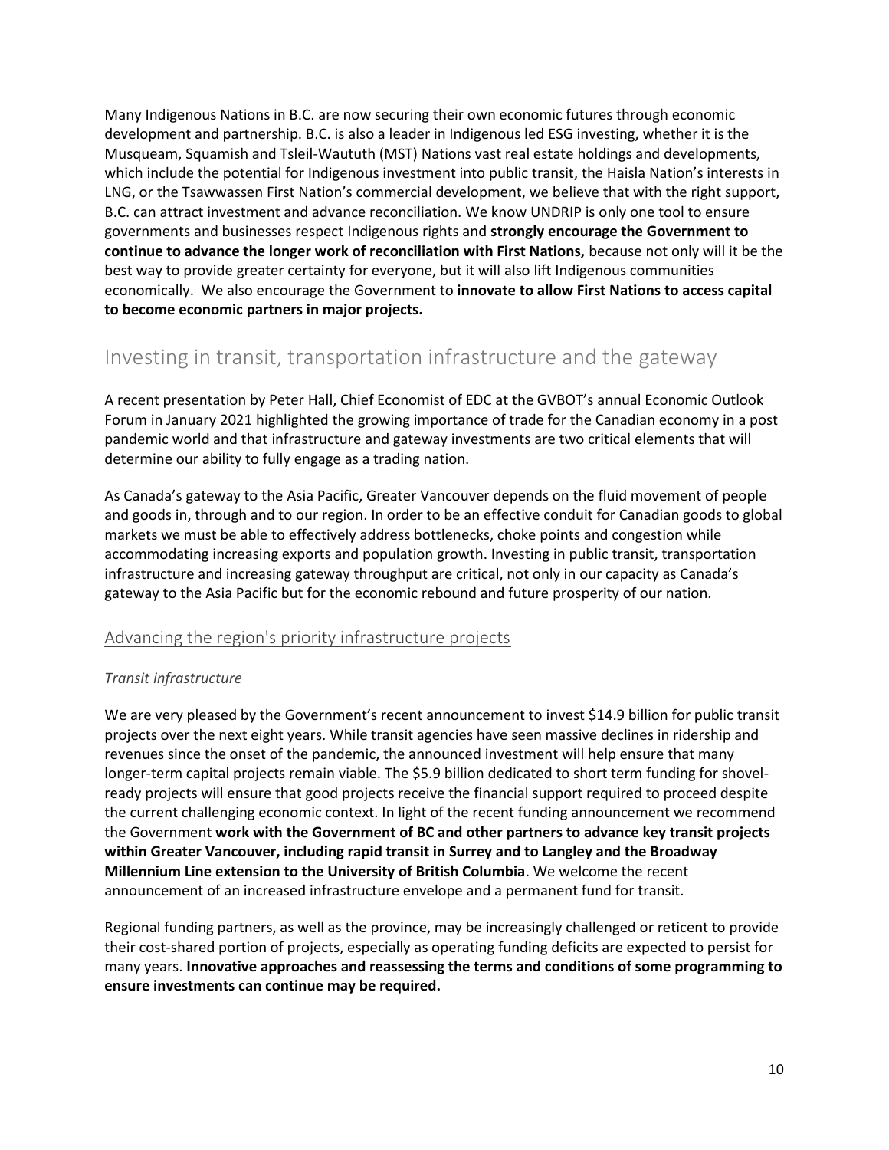Many Indigenous Nations in B.C. are now securing their own economic futures through economic development and partnership. B.C. is also a leader in Indigenous led ESG investing, whether it is the Musqueam, Squamish and Tsleil-Waututh (MST) Nations vast real estate holdings and developments, which include the potential for Indigenous investment into public transit, the Haisla Nation's interests in LNG, or the Tsawwassen First Nation's commercial development, we believe that with the right support, B.C. can attract investment and advance reconciliation. We know UNDRIP is only one tool to ensure governments and businesses respect Indigenous rights and **strongly encourage the Government to continue to advance the longer work of reconciliation with First Nations,** because not only will it be the best way to provide greater certainty for everyone, but it will also lift Indigenous communities economically. We also encourage the Government to **innovate to allow First Nations to access capital to become economic partners in major projects.** 

## Investing in transit, transportation infrastructure and the gateway

A recent presentation by Peter Hall, Chief Economist of EDC at the GVBOT's annual Economic Outlook Forum in January 2021 highlighted the growing importance of trade for the Canadian economy in a post pandemic world and that infrastructure and gateway investments are two critical elements that will determine our ability to fully engage as a trading nation.

As Canada's gateway to the Asia Pacific, Greater Vancouver depends on the fluid movement of people and goods in, through and to our region. In order to be an effective conduit for Canadian goods to global markets we must be able to effectively address bottlenecks, choke points and congestion while accommodating increasing exports and population growth. Investing in public transit, transportation infrastructure and increasing gateway throughput are critical, not only in our capacity as Canada's gateway to the Asia Pacific but for the economic rebound and future prosperity of our nation.

#### Advancing the region's priority infrastructure projects

#### *Transit infrastructure*

We are very pleased by the Government's recent announcement to invest \$14.9 billion for public transit projects over the next eight years. While transit agencies have seen massive declines in ridership and revenues since the onset of the pandemic, the announced investment will help ensure that many longer-term capital projects remain viable. The \$5.9 billion dedicated to short term funding for shovelready projects will ensure that good projects receive the financial support required to proceed despite the current challenging economic context. In light of the recent funding announcement we recommend the Government **work with the Government of BC and other partners to advance key transit projects within Greater Vancouver, including rapid transit in Surrey and to Langley and the Broadway Millennium Line extension to the University of British Columbia**. We welcome the recent announcement of an increased infrastructure envelope and a permanent fund for transit.

Regional funding partners, as well as the province, may be increasingly challenged or reticent to provide their cost-shared portion of projects, especially as operating funding deficits are expected to persist for many years. **Innovative approaches and reassessing the terms and conditions of some programming to ensure investments can continue may be required.**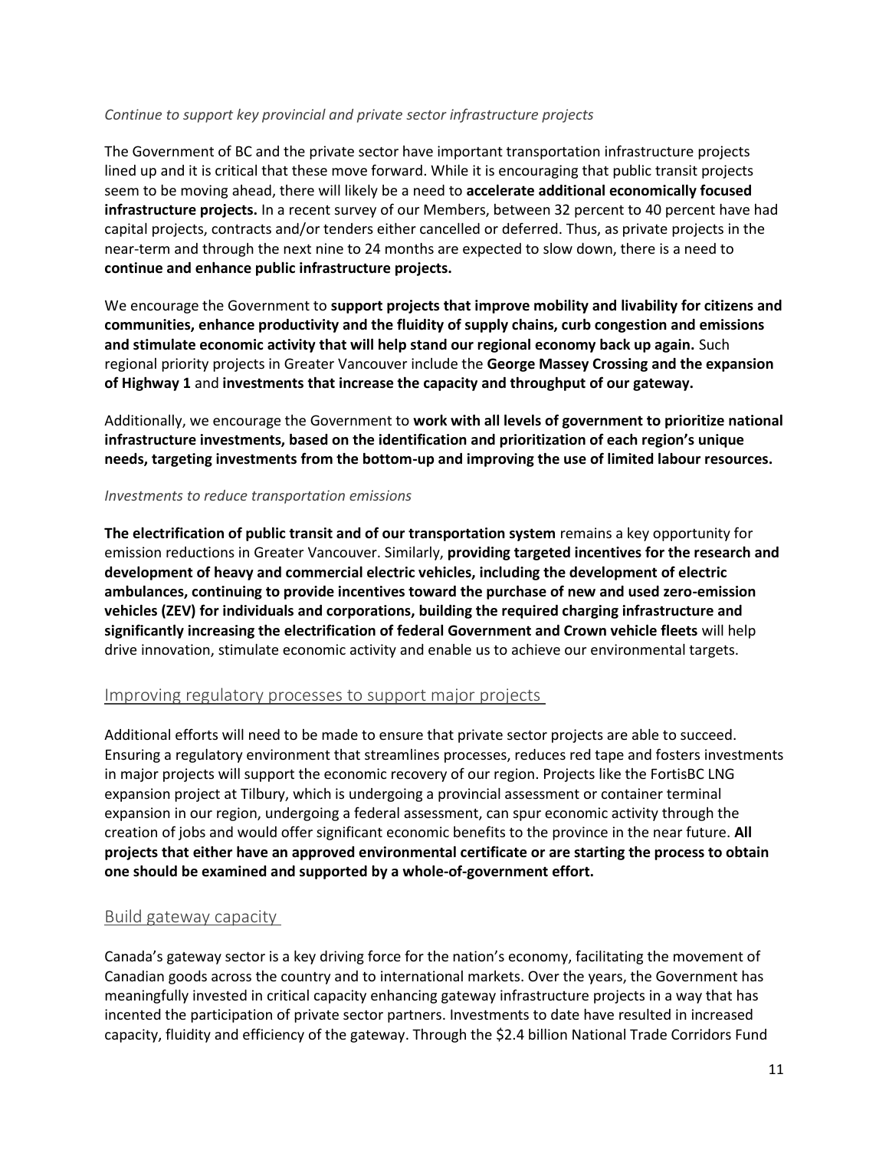#### *Continue to support key provincial and private sector infrastructure projects*

The Government of BC and the private sector have important transportation infrastructure projects lined up and it is critical that these move forward. While it is encouraging that public transit projects seem to be moving ahead, there will likely be a need to **accelerate additional economically focused infrastructure projects.** In a recent survey of our Members, between 32 percent to 40 percent have had capital projects, contracts and/or tenders either cancelled or deferred. Thus, as private projects in the near-term and through the next nine to 24 months are expected to slow down, there is a need to **continue and enhance public infrastructure projects.**

We encourage the Government to **support projects that improve mobility and livability for citizens and communities, enhance productivity and the fluidity of supply chains, curb congestion and emissions and stimulate economic activity that will help stand our regional economy back up again.** Such regional priority projects in Greater Vancouver include the **George Massey Crossing and the expansion of Highway 1** and **investments that increase the capacity and throughput of our gateway.**

Additionally, we encourage the Government to **work with all levels of government to prioritize national infrastructure investments, based on the identification and prioritization of each region's unique needs, targeting investments from the bottom-up and improving the use of limited labour resources.**

#### *Investments to reduce transportation emissions*

**The electrification of public transit and of our transportation system** remains a key opportunity for emission reductions in Greater Vancouver. Similarly, **providing targeted incentives for the research and development of heavy and commercial electric vehicles, including the development of electric ambulances, continuing to provide incentives toward the purchase of new and used zero-emission vehicles (ZEV) for individuals and corporations, building the required charging infrastructure and significantly increasing the electrification of federal Government and Crown vehicle fleets** will help drive innovation, stimulate economic activity and enable us to achieve our environmental targets.

#### Improving regulatory processes to support major projects

Additional efforts will need to be made to ensure that private sector projects are able to succeed. Ensuring a regulatory environment that streamlines processes, reduces red tape and fosters investments in major projects will support the economic recovery of our region. Projects like the FortisBC LNG expansion project at Tilbury, which is undergoing a provincial assessment or container terminal expansion in our region, undergoing a federal assessment, can spur economic activity through the creation of jobs and would offer significant economic benefits to the province in the near future. **All projects that either have an approved environmental certificate or are starting the process to obtain one should be examined and supported by a whole-of-government effort.**

#### Build gateway capacity

Canada's gateway sector is a key driving force for the nation's economy, facilitating the movement of Canadian goods across the country and to international markets. Over the years, the Government has meaningfully invested in critical capacity enhancing gateway infrastructure projects in a way that has incented the participation of private sector partners. Investments to date have resulted in increased capacity, fluidity and efficiency of the gateway. Through the \$2.4 billion National Trade Corridors Fund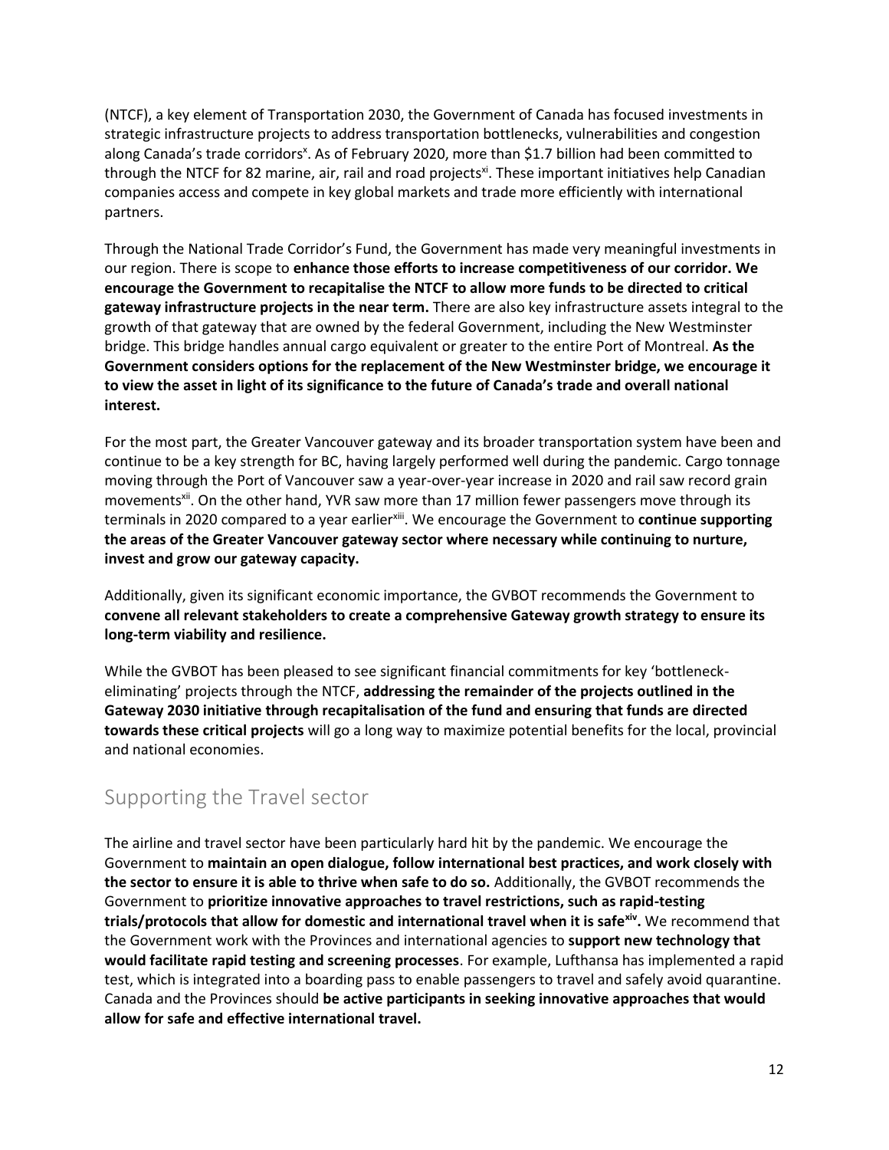(NTCF), a key element of Transportation 2030, the Government of Canada has focused investments in strategic infrastructure projects to address transportation bottlenecks, vulnerabilities and congestion along Canada's trade corridors<sup>x</sup>. As of February 2020, more than \$1.7 billion had been committed to through the NTCF for 82 marine, air, rail and road projects<sup>xi</sup>. These important initiatives help Canadian companies access and compete in key global markets and trade more efficiently with international partners.

Through the National Trade Corridor's Fund, the Government has made very meaningful investments in our region. There is scope to **enhance those efforts to increase competitiveness of our corridor. We encourage the Government to recapitalise the NTCF to allow more funds to be directed to critical gateway infrastructure projects in the near term.** There are also key infrastructure assets integral to the growth of that gateway that are owned by the federal Government, including the New Westminster bridge. This bridge handles annual cargo equivalent or greater to the entire Port of Montreal. **As the Government considers options for the replacement of the New Westminster bridge, we encourage it to view the asset in light of its significance to the future of Canada's trade and overall national interest.**

For the most part, the Greater Vancouver gateway and its broader transportation system have been and continue to be a key strength for BC, having largely performed well during the pandemic. Cargo tonnage moving through the Port of Vancouver saw a year-over-year increase in 2020 and rail saw record grain movementsxii. On the other hand, YVR saw more than 17 million fewer passengers move through its terminals in 2020 compared to a year earlierxiii. We encourage the Government to **continue supporting the areas of the Greater Vancouver gateway sector where necessary while continuing to nurture, invest and grow our gateway capacity.**

Additionally, given its significant economic importance, the GVBOT recommends the Government to **convene all relevant stakeholders to create a comprehensive Gateway growth strategy to ensure its long-term viability and resilience.**

While the GVBOT has been pleased to see significant financial commitments for key 'bottleneckeliminating' projects through the NTCF, **addressing the remainder of the projects outlined in the Gateway 2030 initiative through recapitalisation of the fund and ensuring that funds are directed towards these critical projects** will go a long way to maximize potential benefits for the local, provincial and national economies.

## Supporting the Travel sector

The airline and travel sector have been particularly hard hit by the pandemic. We encourage the Government to **maintain an open dialogue, follow international best practices, and work closely with the sector to ensure it is able to thrive when safe to do so.** Additionally, the GVBOT recommends the Government to **prioritize innovative approaches to travel restrictions, such as rapid-testing trials/protocols that allow for domestic and international travel when it is safexiv .** We recommend that the Government work with the Provinces and international agencies to **support new technology that would facilitate rapid testing and screening processes**. For example, Lufthansa has implemented a rapid test, which is integrated into a boarding pass to enable passengers to travel and safely avoid quarantine. Canada and the Provinces should **be active participants in seeking innovative approaches that would allow for safe and effective international travel.**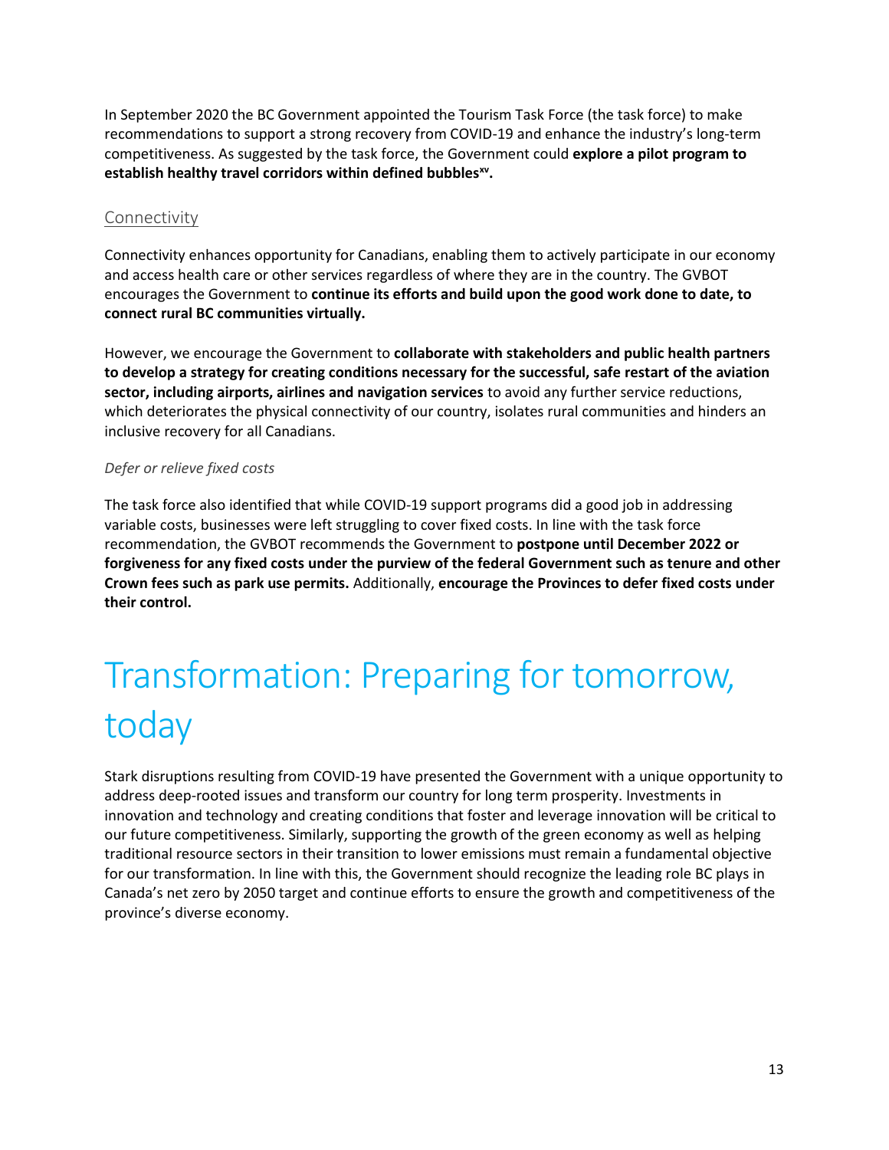In September 2020 the BC Government appointed the Tourism Task Force (the task force) to make recommendations to support a strong recovery from COVID-19 and enhance the industry's long-term competitiveness. As suggested by the task force, the Government could **explore a pilot program to establish healthy travel corridors within defined bubblesxv .**

#### Connectivity

Connectivity enhances opportunity for Canadians, enabling them to actively participate in our economy and access health care or other services regardless of where they are in the country. The GVBOT encourages the Government to **continue its efforts and build upon the good work done to date, to connect rural BC communities virtually.**

However, we encourage the Government to **collaborate with stakeholders and public health partners to develop a strategy for creating conditions necessary for the successful, safe restart of the aviation sector, including airports, airlines and navigation services** to avoid any further service reductions, which deteriorates the physical connectivity of our country, isolates rural communities and hinders an inclusive recovery for all Canadians.

#### *Defer or relieve fixed costs*

The task force also identified that while COVID-19 support programs did a good job in addressing variable costs, businesses were left struggling to cover fixed costs. In line with the task force recommendation, the GVBOT recommends the Government to **postpone until December 2022 or forgiveness for any fixed costs under the purview of the federal Government such as tenure and other Crown fees such as park use permits.** Additionally, **encourage the Provinces to defer fixed costs under their control.**

# Transformation: Preparing for tomorrow, today

Stark disruptions resulting from COVID-19 have presented the Government with a unique opportunity to address deep-rooted issues and transform our country for long term prosperity. Investments in innovation and technology and creating conditions that foster and leverage innovation will be critical to our future competitiveness. Similarly, supporting the growth of the green economy as well as helping traditional resource sectors in their transition to lower emissions must remain a fundamental objective for our transformation. In line with this, the Government should recognize the leading role BC plays in Canada's net zero by 2050 target and continue efforts to ensure the growth and competitiveness of the province's diverse economy.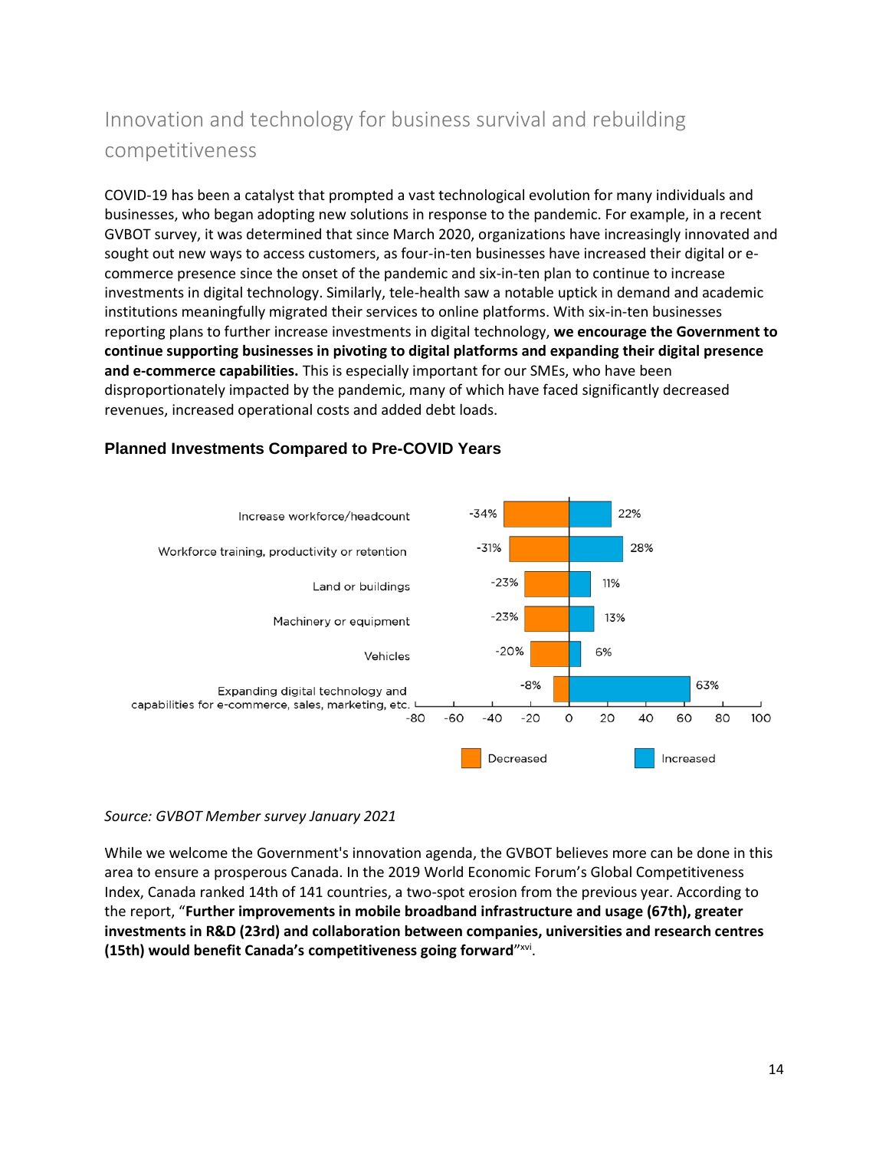## Innovation and technology for business survival and rebuilding competitiveness

COVID-19 has been a catalyst that prompted a vast technological evolution for many individuals and businesses, who began adopting new solutions in response to the pandemic. For example, in a recent GVBOT survey, it was determined that since March 2020, organizations have increasingly innovated and sought out new ways to access customers, as four-in-ten businesses have increased their digital or ecommerce presence since the onset of the pandemic and six-in-ten plan to continue to increase investments in digital technology. Similarly, tele-health saw a notable uptick in demand and academic institutions meaningfully migrated their services to online platforms. With six-in-ten businesses reporting plans to further increase investments in digital technology, **we encourage the Government to continue supporting businesses in pivoting to digital platforms and expanding their digital presence and e-commerce capabilities.** This is especially important for our SMEs, who have been disproportionately impacted by the pandemic, many of which have faced significantly decreased revenues, increased operational costs and added debt loads.



#### **Planned Investments Compared to Pre-COVID Years**

#### *Source: GVBOT Member survey January 2021*

While we welcome the Government's innovation agenda, the GVBOT believes more can be done in this area to ensure a prosperous Canada. In the 2019 World Economic Forum's Global Competitiveness Index, Canada ranked 14th of 141 countries, a two-spot erosion from the previous year. According to the report, "**Further improvements in mobile broadband infrastructure and usage (67th), greater investments in R&D (23rd) and collaboration between companies, universities and research centres (15th) would benefit Canada's competitiveness going forward**" xvi .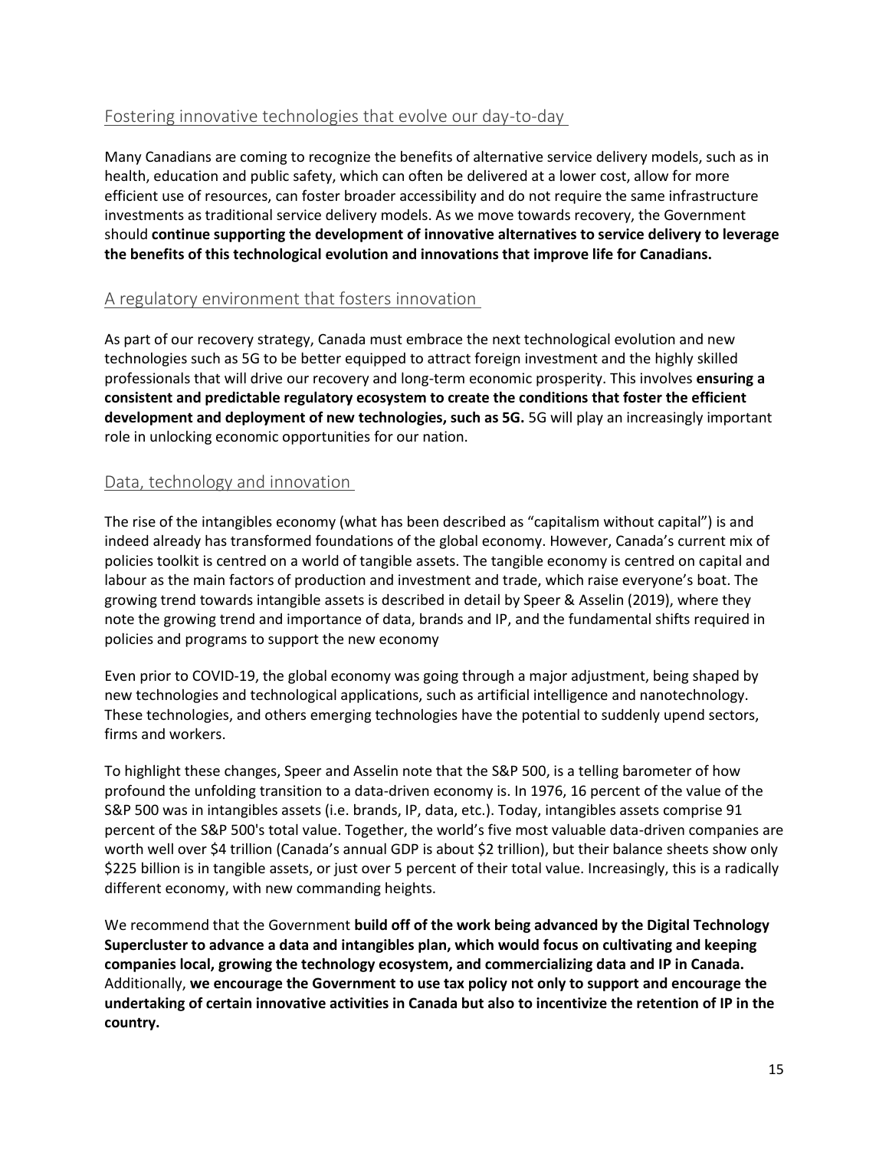#### Fostering innovative technologies that evolve our day-to-day

Many Canadians are coming to recognize the benefits of alternative service delivery models, such as in health, education and public safety, which can often be delivered at a lower cost, allow for more efficient use of resources, can foster broader accessibility and do not require the same infrastructure investments as traditional service delivery models. As we move towards recovery, the Government should **continue supporting the development of innovative alternatives to service delivery to leverage the benefits of this technological evolution and innovations that improve life for Canadians.**

#### A regulatory environment that fosters innovation

As part of our recovery strategy, Canada must embrace the next technological evolution and new technologies such as 5G to be better equipped to attract foreign investment and the highly skilled professionals that will drive our recovery and long-term economic prosperity. This involves **ensuring a consistent and predictable regulatory ecosystem to create the conditions that foster the efficient development and deployment of new technologies, such as 5G.** 5G will play an increasingly important role in unlocking economic opportunities for our nation.

#### Data, technology and innovation

The rise of the intangibles economy (what has been described as "capitalism without capital") is and indeed already has transformed foundations of the global economy. However, Canada's current mix of policies toolkit is centred on a world of tangible assets. The tangible economy is centred on capital and labour as the main factors of production and investment and trade, which raise everyone's boat. The growing trend towards intangible assets is described in detail by Speer & Asselin (2019), where they note the growing trend and importance of data, brands and IP, and the fundamental shifts required in policies and programs to support the new economy

Even prior to COVID-19, the global economy was going through a major adjustment, being shaped by new technologies and technological applications, such as artificial intelligence and nanotechnology. These technologies, and others emerging technologies have the potential to suddenly upend sectors, firms and workers.

To highlight these changes, Speer and Asselin note that the S&P 500, is a telling barometer of how profound the unfolding transition to a data-driven economy is. In 1976, 16 percent of the value of the S&P 500 was in intangibles assets (i.e. brands, IP, data, etc.). Today, intangibles assets comprise 91 percent of the S&P 500's total value. Together, the world's five most valuable data-driven companies are worth well over \$4 trillion (Canada's annual GDP is about \$2 trillion), but their balance sheets show only \$225 billion is in tangible assets, or just over 5 percent of their total value. Increasingly, this is a radically different economy, with new commanding heights.

We recommend that the Government **build off of the work being advanced by the Digital Technology Supercluster to advance a data and intangibles plan, which would focus on cultivating and keeping companies local, growing the technology ecosystem, and commercializing data and IP in Canada.** Additionally, **we encourage the Government to use tax policy not only to support and encourage the undertaking of certain innovative activities in Canada but also to incentivize the retention of IP in the country.**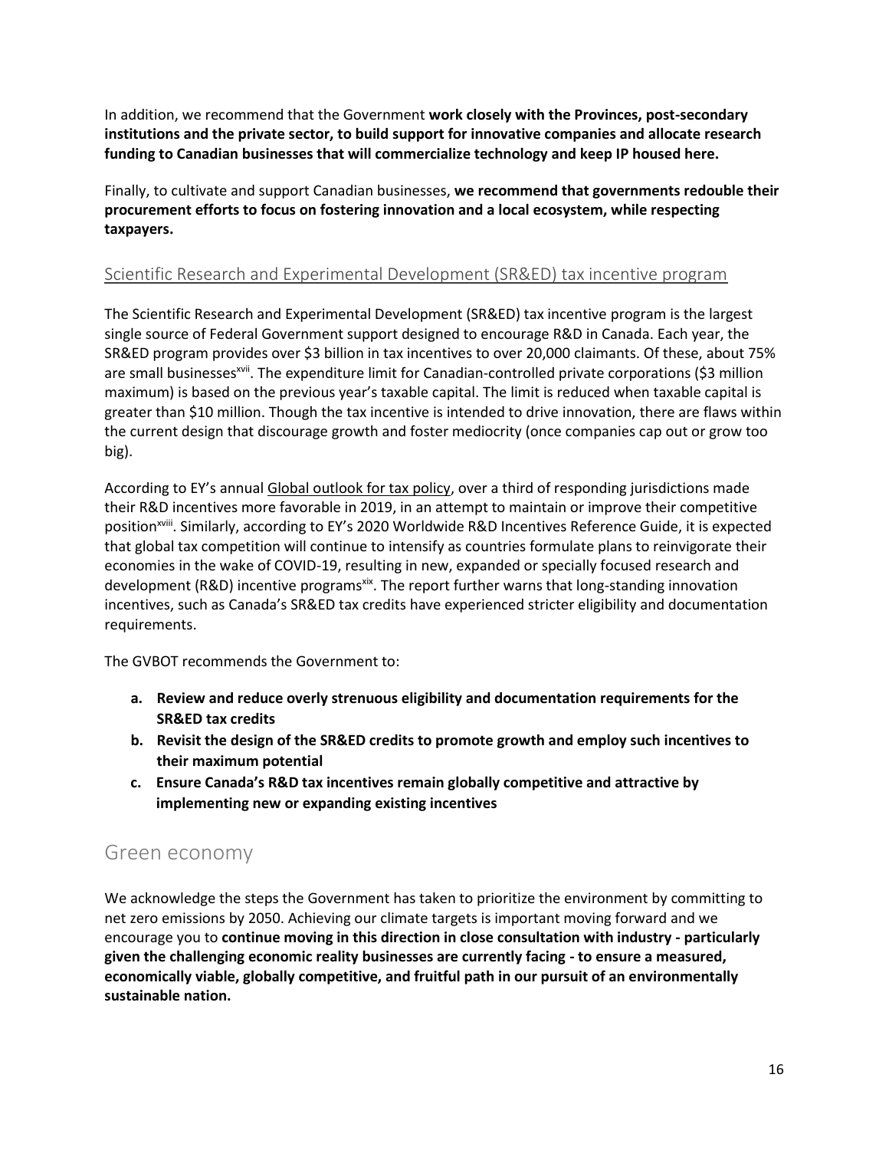In addition, we recommend that the Government **work closely with the Provinces, post-secondary institutions and the private sector, to build support for innovative companies and allocate research funding to Canadian businesses that will commercialize technology and keep IP housed here.**

Finally, to cultivate and support Canadian businesses, **we recommend that governments redouble their procurement efforts to focus on fostering innovation and a local ecosystem, while respecting taxpayers.**

#### Scientific Research and Experimental Development (SR&ED) tax incentive program

The Scientific Research and Experimental Development (SR&ED) tax incentive program is the largest single source of Federal Government support designed to encourage R&D in Canada. Each year, the SR&ED program provides over \$3 billion in tax incentives to over 20,000 claimants. Of these, about 75% are small businesses<sup>xvii</sup>. The expenditure limit for Canadian-controlled private corporations (\$3 million maximum) is based on the previous year's taxable capital. The limit is reduced when taxable capital is greater than \$10 million. Though the tax incentive is intended to drive innovation, there are flaws within the current design that discourage growth and foster mediocrity (once companies cap out or grow too big).

According to EY's annual [Global outlook for tax policy,](https://www.ey.com/Publication/vwLUAssets/ey-the-outlook-for-global-tax-policy-and-controversy-in-2019/$File/ey-the-outlook-for-global-tax-policy-and-controversy-in-2019.pdf) over a third of responding jurisdictions made their R&D incentives more favorable in 2019, in an attempt to maintain or improve their competitive position<sup>xviii</sup>. Similarly, according to EY's 2020 Worldwide R&D Incentives Reference Guide, it is expected that global tax competition will continue to intensify as countries formulate plans to reinvigorate their economies in the wake of COVID-19, resulting in new, expanded or specially focused research and development (R&D) incentive programs<sup>xix</sup>. The report further warns that long-standing innovation incentives, such as Canada's SR&ED tax credits have experienced stricter eligibility and documentation requirements.

The GVBOT recommends the Government to:

- **a. Review and reduce overly strenuous eligibility and documentation requirements for the SR&ED tax credits**
- **b. Revisit the design of the SR&ED credits to promote growth and employ such incentives to their maximum potential**
- **c. Ensure Canada's R&D tax incentives remain globally competitive and attractive by implementing new or expanding existing incentives**

### Green economy

We acknowledge the steps the Government has taken to prioritize the environment by committing to net zero emissions by 2050. Achieving our climate targets is important moving forward and we encourage you to **continue moving in this direction in close consultation with industry - particularly given the challenging economic reality businesses are currently facing - to ensure a measured, economically viable, globally competitive, and fruitful path in our pursuit of an environmentally sustainable nation.**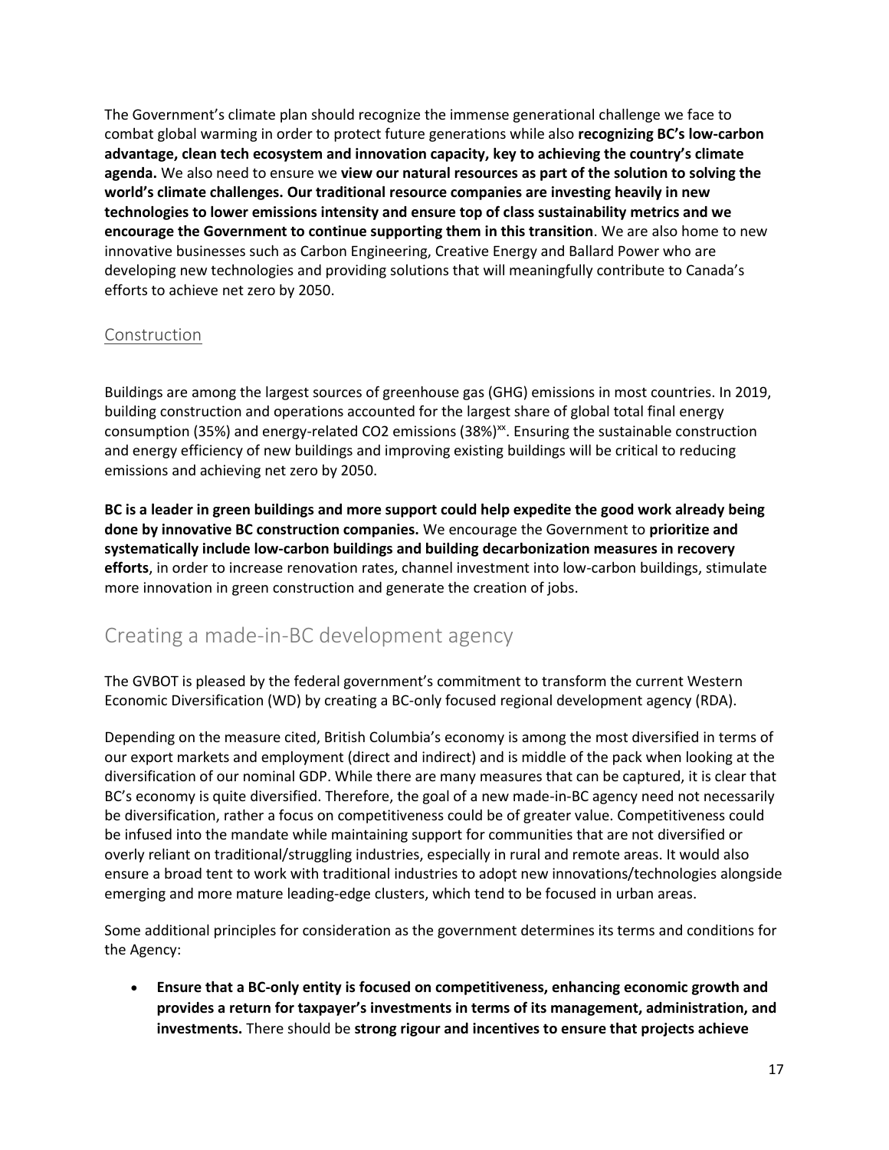The Government's climate plan should recognize the immense generational challenge we face to combat global warming in order to protect future generations while also **recognizing BC's low-carbon advantage, clean tech ecosystem and innovation capacity, key to achieving the country's climate agenda.** We also need to ensure we **view our natural resources as part of the solution to solving the world's climate challenges. Our traditional resource companies are investing heavily in new technologies to lower emissions intensity and ensure top of class sustainability metrics and we encourage the Government to continue supporting them in this transition**. We are also home to new innovative businesses such as Carbon Engineering, Creative Energy and Ballard Power who are developing new technologies and providing solutions that will meaningfully contribute to Canada's efforts to achieve net zero by 2050.

#### Construction

Buildings are among the largest sources of greenhouse gas (GHG) emissions in most countries. In 2019, building construction and operations accounted for the largest share of global total final energy consumption (35%) and energy-related CO2 emissions (38%)<sup>xx</sup>. Ensuring the sustainable construction and energy efficiency of new buildings and improving existing buildings will be critical to reducing emissions and achieving net zero by 2050.

**BC is a leader in green buildings and more support could help expedite the good work already being done by innovative BC construction companies.** We encourage the Government to **prioritize and systematically include low-carbon buildings and building decarbonization measures in recovery efforts**, in order to increase renovation rates, channel investment into low-carbon buildings, stimulate more innovation in green construction and generate the creation of jobs.

## Creating a made-in-BC development agency

The GVBOT is pleased by the federal government's commitment to transform the current Western Economic Diversification (WD) by creating a BC-only focused regional development agency (RDA).

Depending on the measure cited, British Columbia's economy is among the most diversified in terms of our export markets and employment (direct and indirect) and is middle of the pack when looking at the diversification of our nominal GDP. While there are many measures that can be captured, it is clear that BC's economy is quite diversified. Therefore, the goal of a new made-in-BC agency need not necessarily be diversification, rather a focus on competitiveness could be of greater value. Competitiveness could be infused into the mandate while maintaining support for communities that are not diversified or overly reliant on traditional/struggling industries, especially in rural and remote areas. It would also ensure a broad tent to work with traditional industries to adopt new innovations/technologies alongside emerging and more mature leading-edge clusters, which tend to be focused in urban areas.

Some additional principles for consideration as the government determines its terms and conditions for the Agency:

• **Ensure that a BC-only entity is focused on competitiveness, enhancing economic growth and provides a return for taxpayer's investments in terms of its management, administration, and investments.** There should be **strong rigour and incentives to ensure that projects achieve**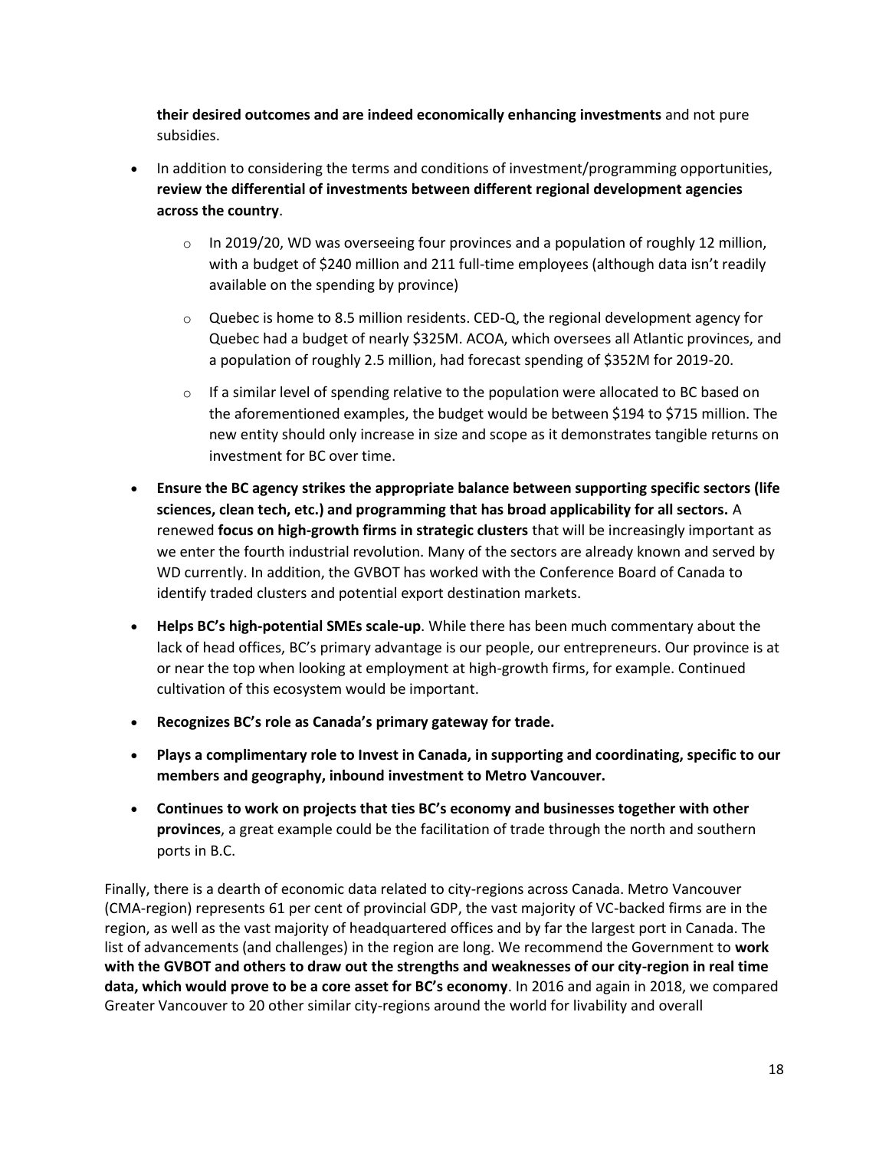**their desired outcomes and are indeed economically enhancing investments** and not pure subsidies.

- In addition to considering the terms and conditions of investment/programming opportunities, **review the differential of investments between different regional development agencies across the country**.
	- $\circ$  In 2019/20, WD was overseeing four provinces and a population of roughly 12 million, with a budget of \$240 million and 211 full-time employees (although data isn't readily available on the spending by province)
	- $\circ$  Quebec is home to 8.5 million residents. CED-Q, the regional development agency for Quebec had a budget of nearly \$325M. ACOA, which oversees all Atlantic provinces, and a population of roughly 2.5 million, had forecast spending of \$352M for 2019-20.
	- $\circ$  If a similar level of spending relative to the population were allocated to BC based on the aforementioned examples, the budget would be between \$194 to \$715 million. The new entity should only increase in size and scope as it demonstrates tangible returns on investment for BC over time.
- **Ensure the BC agency strikes the appropriate balance between supporting specific sectors (life sciences, clean tech, etc.) and programming that has broad applicability for all sectors.** A renewed **focus on high-growth firms in strategic clusters** that will be increasingly important as we enter the fourth industrial revolution. Many of the sectors are already known and served by WD currently. In addition, the GVBOT has worked with the Conference Board of Canada to identify traded clusters and potential export destination markets.
- **Helps BC's high-potential SMEs scale-up**. While there has been much commentary about the lack of head offices, BC's primary advantage is our people, our entrepreneurs. Our province is at or near the top when looking at employment at high-growth firms, for example. Continued cultivation of this ecosystem would be important.
- **Recognizes BC's role as Canada's primary gateway for trade.**
- **Plays a complimentary role to Invest in Canada, in supporting and coordinating, specific to our members and geography, inbound investment to Metro Vancouver.**
- **Continues to work on projects that ties BC's economy and businesses together with other provinces**, a great example could be the facilitation of trade through the north and southern ports in B.C.

Finally, there is a dearth of economic data related to city-regions across Canada. Metro Vancouver (CMA-region) represents 61 per cent of provincial GDP, the vast majority of VC-backed firms are in the region, as well as the vast majority of headquartered offices and by far the largest port in Canada. The list of advancements (and challenges) in the region are long. We recommend the Government to **work with the GVBOT and others to draw out the strengths and weaknesses of our city-region in real time data, which would prove to be a core asset for BC's economy**. In 2016 and again in 2018, we compared Greater Vancouver to 20 other similar city-regions around the world for livability and overall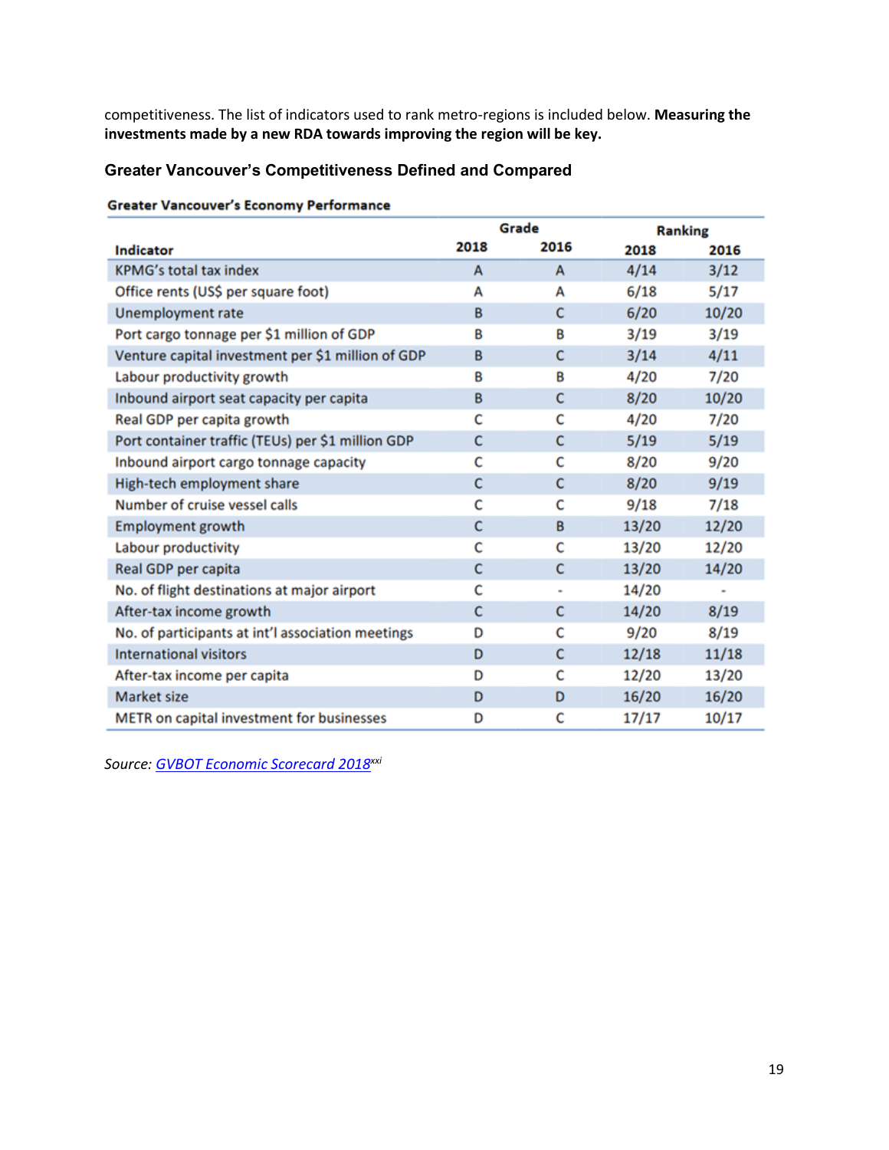competitiveness. The list of indicators used to rank metro-regions is included below. **Measuring the investments made by a new RDA towards improving the region will be key.**

#### **Greater Vancouver's Competitiveness Defined and Compared**

|  | <b>Greater Vancouver's Economy Performance</b> |
|--|------------------------------------------------|
|  |                                                |

|                                                   | Grade |              | <b>Ranking</b> |       |
|---------------------------------------------------|-------|--------------|----------------|-------|
| <b>Indicator</b>                                  | 2018  | 2016         | 2018           | 2016  |
| <b>KPMG's total tax index</b>                     | A     | A            | 4/14           | 3/12  |
| Office rents (US\$ per square foot)               | A     | A            | 6/18           | 5/17  |
| <b>Unemployment rate</b>                          | B     | $\mathsf{C}$ | 6/20           | 10/20 |
| Port cargo tonnage per \$1 million of GDP         | В     | B            | 3/19           | 3/19  |
| Venture capital investment per \$1 million of GDP | B     | c            | 3/14           | 4/11  |
| Labour productivity growth                        | B     | B            | 4/20           | 7/20  |
| Inbound airport seat capacity per capita          | B     | c            | 8/20           | 10/20 |
| Real GDP per capita growth                        | c     | c            | 4/20           | 7/20  |
| Port container traffic (TEUs) per \$1 million GDP | c     | c            | 5/19           | 5/19  |
| Inbound airport cargo tonnage capacity            | c     | c            | 8/20           | 9/20  |
| High-tech employment share                        | c     | c            | 8/20           | 9/19  |
| Number of cruise vessel calls                     | c     | c            | 9/18           | 7/18  |
| <b>Employment growth</b>                          | c     | B            | 13/20          | 12/20 |
| Labour productivity                               | c     | c            | 13/20          | 12/20 |
| Real GDP per capita                               | c     | c            | 13/20          | 14/20 |
| No. of flight destinations at major airport       | c     | ٠            | 14/20          |       |
| After-tax income growth                           | c     | c            | 14/20          | 8/19  |
| No. of participants at int'l association meetings | D     | c            | 9/20           | 8/19  |
| <b>International visitors</b>                     | D     | C            | 12/18          | 11/18 |
| After-tax income per capita                       | D     | с            | 12/20          | 13/20 |
| <b>Market size</b>                                | D     | D            | 16/20          | 16/20 |
| METR on capital investment for businesses         | D     | c            | 17/17          | 10/17 |

*Source: [GVBOT Economic Scorecard 2018](https://www.boardoftrade.com/scorecard2018/#:~:text=Scorecard%202018%20offers%20a%20comprehensive,key%20economic%20and%20social%20indicators.&text=Greater%20Vancouver%20earns%20a%20%E2%80%9CB,overall%20among%2020%20regions%20examined.)xxi*